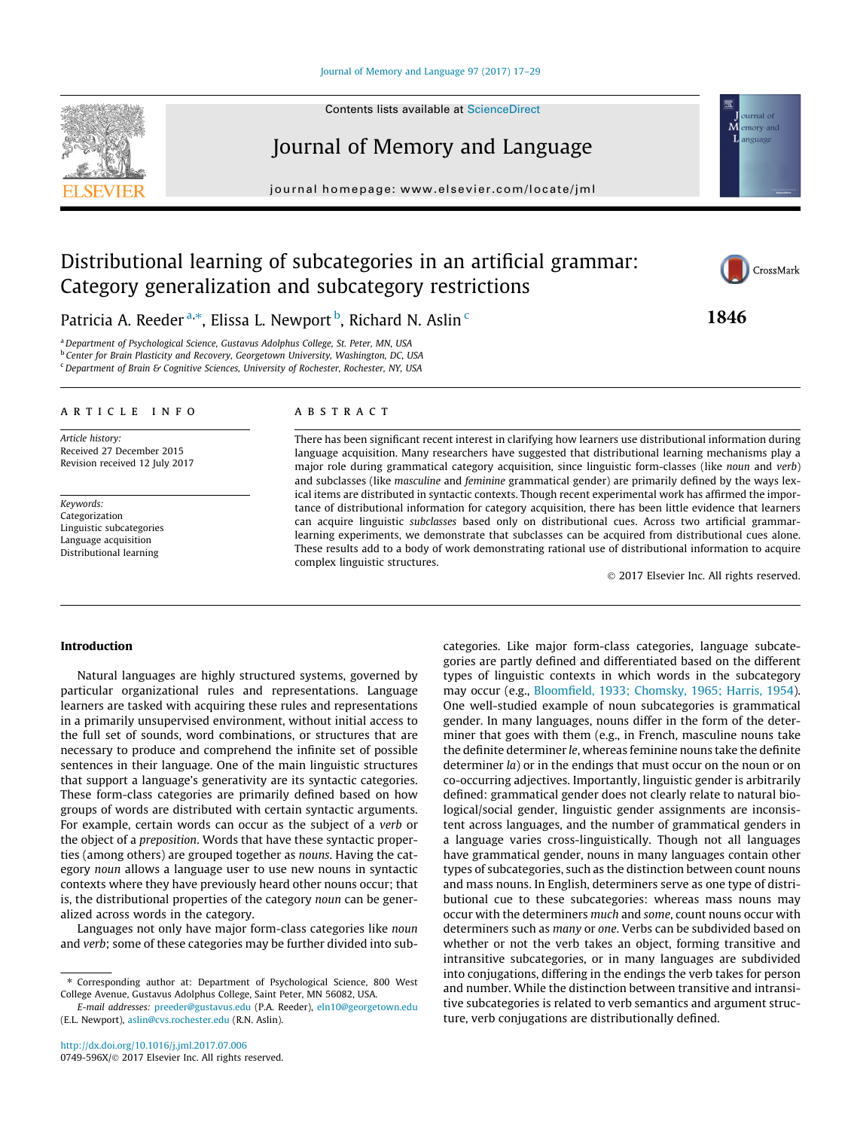#### [Journal of Memory and Language 97 \(2017\) 17–29](http://dx.doi.org/10.1016/j.jml.2017.07.006)

# Journal of Memory and Language

journal homepage: [www.elsevier.com/locate/jml](http://www.elsevier.com/locate/jml)

## Distributional learning of subcategories in an artificial grammar: Category generalization and subcategory restrictions

Patricia A. Reeder <sup>a,\*</sup>, Elissa L. Newport <sup>b</sup>, Richard N. Aslin <sup>c</sup>

<sup>a</sup>Department of Psychological Science, Gustavus Adolphus College, St. Peter, MN, USA **b** Center for Brain Plasticity and Recovery, Georgetown University, Washington, DC, USA <sup>c</sup> Department of Brain & Cognitive Sciences, University of Rochester, Rochester, NY, USA

#### article info

Article history: Received 27 December 2015 Revision received 12 July 2017

Keywords: Categorization Linguistic subcategories Language acquisition Distributional learning

## A B S T R A C T

There has been significant recent interest in clarifying how learners use distributional information during language acquisition. Many researchers have suggested that distributional learning mechanisms play a major role during grammatical category acquisition, since linguistic form-classes (like noun and verb) and subclasses (like masculine and feminine grammatical gender) are primarily defined by the ways lexical items are distributed in syntactic contexts. Though recent experimental work has affirmed the importance of distributional information for category acquisition, there has been little evidence that learners can acquire linguistic subclasses based only on distributional cues. Across two artificial grammarlearning experiments, we demonstrate that subclasses can be acquired from distributional cues alone. These results add to a body of work demonstrating rational use of distributional information to acquire complex linguistic structures.

2017 Elsevier Inc. All rights reserved.

#### Introduction

Natural languages are highly structured systems, governed by particular organizational rules and representations. Language learners are tasked with acquiring these rules and representations in a primarily unsupervised environment, without initial access to the full set of sounds, word combinations, or structures that are necessary to produce and comprehend the infinite set of possible sentences in their language. One of the main linguistic structures that support a language's generativity are its syntactic categories. These form-class categories are primarily defined based on how groups of words are distributed with certain syntactic arguments. For example, certain words can occur as the subject of a verb or the object of a preposition. Words that have these syntactic properties (among others) are grouped together as nouns. Having the category noun allows a language user to use new nouns in syntactic contexts where they have previously heard other nouns occur; that is, the distributional properties of the category noun can be generalized across words in the category.

Languages not only have major form-class categories like noun and verb; some of these categories may be further divided into subcategories. Like major form-class categories, language subcategories are partly defined and differentiated based on the different types of linguistic contexts in which words in the subcategory may occur (e.g., [Bloomfield, 1933; Chomsky, 1965; Harris, 1954\)](#page-11-0). One well-studied example of noun subcategories is grammatical gender. In many languages, nouns differ in the form of the determiner that goes with them (e.g., in French, masculine nouns take the definite determiner le, whereas feminine nouns take the definite determiner *la*) or in the endings that must occur on the noun or on co-occurring adjectives. Importantly, linguistic gender is arbitrarily defined: grammatical gender does not clearly relate to natural biological/social gender, linguistic gender assignments are inconsistent across languages, and the number of grammatical genders in a language varies cross-linguistically. Though not all languages have grammatical gender, nouns in many languages contain other types of subcategories, such as the distinction between count nouns and mass nouns. In English, determiners serve as one type of distributional cue to these subcategories: whereas mass nouns may occur with the determiners much and some, count nouns occur with determiners such as many or one. Verbs can be subdivided based on whether or not the verb takes an object, forming transitive and intransitive subcategories, or in many languages are subdivided into conjugations, differing in the endings the verb takes for person and number. While the distinction between transitive and intransitive subcategories is related to verb semantics and argument structure, verb conjugations are distributionally defined.







ournal of M emory and anguag

<sup>⇑</sup> Corresponding author at: Department of Psychological Science, 800 West College Avenue, Gustavus Adolphus College, Saint Peter, MN 56082, USA.

E-mail addresses: [preeder@gustavus.edu](mailto:preeder@gustavus.edu) (P.A. Reeder), [eln10@georgetown.edu](mailto:eln10@georgetown.edu) (E.L. Newport), [aslin@cvs.rochester.edu](mailto:aslin@cvs.rochester.edu) (R.N. Aslin).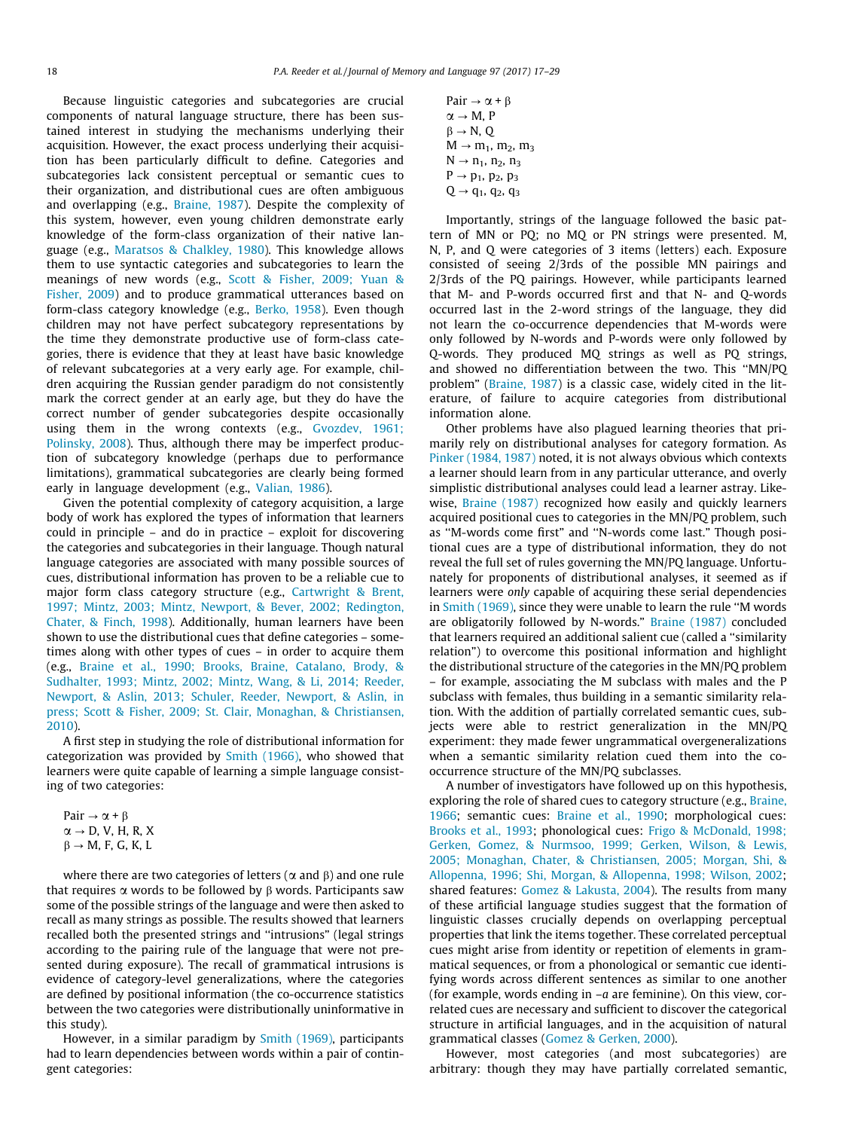Because linguistic categories and subcategories are crucial components of natural language structure, there has been sustained interest in studying the mechanisms underlying their acquisition. However, the exact process underlying their acquisition has been particularly difficult to define. Categories and subcategories lack consistent perceptual or semantic cues to their organization, and distributional cues are often ambiguous and overlapping (e.g., [Braine, 1987](#page-11-0)). Despite the complexity of this system, however, even young children demonstrate early knowledge of the form-class organization of their native language (e.g., [Maratsos & Chalkley, 1980\)](#page-12-0). This knowledge allows them to use syntactic categories and subcategories to learn the meanings of new words (e.g., [Scott & Fisher, 2009; Yuan &](#page-12-0) [Fisher, 2009](#page-12-0)) and to produce grammatical utterances based on form-class category knowledge (e.g., [Berko, 1958\)](#page-11-0). Even though children may not have perfect subcategory representations by the time they demonstrate productive use of form-class categories, there is evidence that they at least have basic knowledge of relevant subcategories at a very early age. For example, children acquiring the Russian gender paradigm do not consistently mark the correct gender at an early age, but they do have the correct number of gender subcategories despite occasionally using them in the wrong contexts (e.g., [Gvozdev, 1961;](#page-12-0) [Polinsky, 2008\)](#page-12-0). Thus, although there may be imperfect production of subcategory knowledge (perhaps due to performance limitations), grammatical subcategories are clearly being formed early in language development (e.g., [Valian, 1986\)](#page-12-0).

Given the potential complexity of category acquisition, a large body of work has explored the types of information that learners could in principle – and do in practice – exploit for discovering the categories and subcategories in their language. Though natural language categories are associated with many possible sources of cues, distributional information has proven to be a reliable cue to major form class category structure (e.g., [Cartwright & Brent,](#page-11-0) [1997; Mintz, 2003; Mintz, Newport, & Bever, 2002; Redington,](#page-11-0) [Chater, & Finch, 1998](#page-11-0)). Additionally, human learners have been shown to use the distributional cues that define categories – sometimes along with other types of cues – in order to acquire them (e.g., [Braine et al., 1990; Brooks, Braine, Catalano, Brody, &](#page-11-0) [Sudhalter, 1993; Mintz, 2002; Mintz, Wang, & Li, 2014; Reeder,](#page-11-0) [Newport, & Aslin, 2013; Schuler, Reeder, Newport, & Aslin, in](#page-11-0) [press; Scott & Fisher, 2009; St. Clair, Monaghan, & Christiansen,](#page-11-0) [2010\)](#page-11-0).

A first step in studying the role of distributional information for categorization was provided by [Smith \(1966\),](#page-12-0) who showed that learners were quite capable of learning a simple language consisting of two categories:

Pair  $\rightarrow \alpha + \beta$  $\alpha \rightarrow D$ , V, H, R, X  $\beta \rightarrow M$ , F, G, K, L

where there are two categories of letters ( $\alpha$  and  $\beta$ ) and one rule that requires  $\alpha$  words to be followed by  $\beta$  words. Participants saw some of the possible strings of the language and were then asked to recall as many strings as possible. The results showed that learners recalled both the presented strings and ''intrusions" (legal strings according to the pairing rule of the language that were not presented during exposure). The recall of grammatical intrusions is evidence of category-level generalizations, where the categories are defined by positional information (the co-occurrence statistics between the two categories were distributionally uninformative in this study).

However, in a similar paradigm by [Smith \(1969\),](#page-12-0) participants had to learn dependencies between words within a pair of contingent categories:

```
Pair \rightarrow \alpha + \beta\alpha \rightarrow M, P
\beta \rightarrow N, O
M \rightarrow m_1, m_2, m_3N \to n_1, n_2, n_3P \rightarrow p_1, p_2, p_3Q \rightarrow q_1, q_2, q_3
```
Importantly, strings of the language followed the basic pattern of MN or PQ; no MQ or PN strings were presented. M, N, P, and Q were categories of 3 items (letters) each. Exposure consisted of seeing 2/3rds of the possible MN pairings and 2/3rds of the PQ pairings. However, while participants learned that M- and P-words occurred first and that N- and Q-words occurred last in the 2-word strings of the language, they did not learn the co-occurrence dependencies that M-words were only followed by N-words and P-words were only followed by Q-words. They produced MQ strings as well as PQ strings, and showed no differentiation between the two. This ''MN/PQ problem" [\(Braine, 1987\)](#page-11-0) is a classic case, widely cited in the literature, of failure to acquire categories from distributional information alone.

Other problems have also plagued learning theories that primarily rely on distributional analyses for category formation. As [Pinker \(1984, 1987\)](#page-12-0) noted, it is not always obvious which contexts a learner should learn from in any particular utterance, and overly simplistic distributional analyses could lead a learner astray. Like-wise, [Braine \(1987\)](#page-11-0) recognized how easily and quickly learners acquired positional cues to categories in the MN/PQ problem, such as ''M-words come first" and ''N-words come last." Though positional cues are a type of distributional information, they do not reveal the full set of rules governing the MN/PQ language. Unfortunately for proponents of distributional analyses, it seemed as if learners were only capable of acquiring these serial dependencies in [Smith \(1969\),](#page-12-0) since they were unable to learn the rule ''M words are obligatorily followed by N-words." [Braine \(1987\)](#page-11-0) concluded that learners required an additional salient cue (called a ''similarity relation") to overcome this positional information and highlight the distributional structure of the categories in the MN/PQ problem – for example, associating the M subclass with males and the P subclass with females, thus building in a semantic similarity relation. With the addition of partially correlated semantic cues, subjects were able to restrict generalization in the MN/PQ experiment: they made fewer ungrammatical overgeneralizations when a semantic similarity relation cued them into the cooccurrence structure of the MN/PQ subclasses.

A number of investigators have followed up on this hypothesis, exploring the role of shared cues to category structure (e.g., [Braine,](#page-11-0) [1966;](#page-11-0) semantic cues: [Braine et al., 1990](#page-11-0); morphological cues: [Brooks et al., 1993](#page-11-0); phonological cues: [Frigo & McDonald, 1998;](#page-11-0) [Gerken, Gomez, & Nurmsoo, 1999; Gerken, Wilson, & Lewis,](#page-11-0) [2005; Monaghan, Chater, & Christiansen, 2005; Morgan, Shi, &](#page-11-0) [Allopenna, 1996; Shi, Morgan, & Allopenna, 1998; Wilson, 2002;](#page-11-0) shared features: [Gomez & Lakusta, 2004](#page-11-0)). The results from many of these artificial language studies suggest that the formation of linguistic classes crucially depends on overlapping perceptual properties that link the items together. These correlated perceptual cues might arise from identity or repetition of elements in grammatical sequences, or from a phonological or semantic cue identifying words across different sentences as similar to one another (for example, words ending in  $-a$  are feminine). On this view, correlated cues are necessary and sufficient to discover the categorical structure in artificial languages, and in the acquisition of natural grammatical classes [\(Gomez & Gerken, 2000](#page-11-0)).

However, most categories (and most subcategories) are arbitrary: though they may have partially correlated semantic,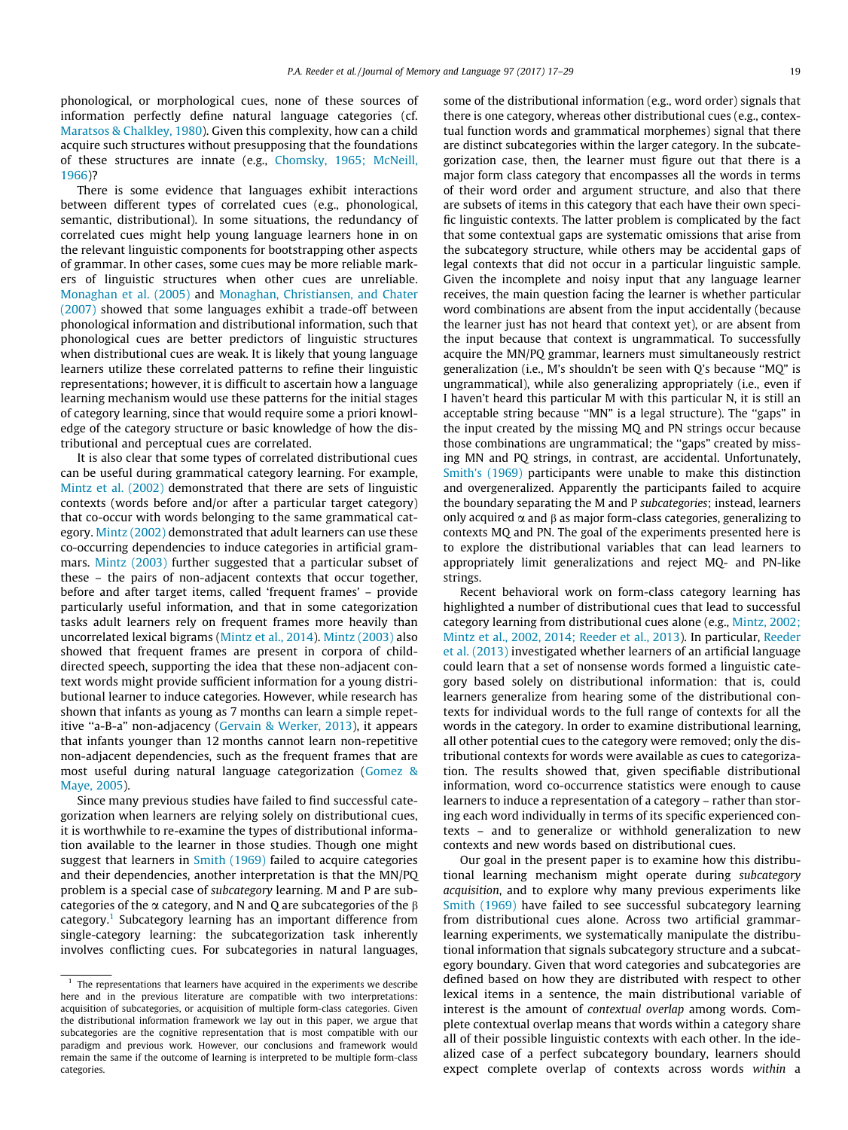phonological, or morphological cues, none of these sources of information perfectly define natural language categories (cf. [Maratsos & Chalkley, 1980\)](#page-12-0). Given this complexity, how can a child acquire such structures without presupposing that the foundations of these structures are innate (e.g., [Chomsky, 1965; McNeill,](#page-11-0) [1966\)](#page-11-0)?

There is some evidence that languages exhibit interactions between different types of correlated cues (e.g., phonological, semantic, distributional). In some situations, the redundancy of correlated cues might help young language learners hone in on the relevant linguistic components for bootstrapping other aspects of grammar. In other cases, some cues may be more reliable markers of linguistic structures when other cues are unreliable. [Monaghan et al. \(2005\)](#page-12-0) and [Monaghan, Christiansen, and Chater](#page-12-0) [\(2007\)](#page-12-0) showed that some languages exhibit a trade-off between phonological information and distributional information, such that phonological cues are better predictors of linguistic structures when distributional cues are weak. It is likely that young language learners utilize these correlated patterns to refine their linguistic representations; however, it is difficult to ascertain how a language learning mechanism would use these patterns for the initial stages of category learning, since that would require some a priori knowledge of the category structure or basic knowledge of how the distributional and perceptual cues are correlated.

It is also clear that some types of correlated distributional cues can be useful during grammatical category learning. For example, [Mintz et al. \(2002\)](#page-12-0) demonstrated that there are sets of linguistic contexts (words before and/or after a particular target category) that co-occur with words belonging to the same grammatical category. [Mintz \(2002\)](#page-12-0) demonstrated that adult learners can use these co-occurring dependencies to induce categories in artificial grammars. [Mintz \(2003\)](#page-12-0) further suggested that a particular subset of these – the pairs of non-adjacent contexts that occur together, before and after target items, called 'frequent frames' – provide particularly useful information, and that in some categorization tasks adult learners rely on frequent frames more heavily than uncorrelated lexical bigrams ([Mintz et al., 2014](#page-12-0)). [Mintz \(2003\)](#page-12-0) also showed that frequent frames are present in corpora of childdirected speech, supporting the idea that these non-adjacent context words might provide sufficient information for a young distributional learner to induce categories. However, while research has shown that infants as young as 7 months can learn a simple repetitive ''a-B-a" non-adjacency [\(Gervain & Werker, 2013\)](#page-11-0), it appears that infants younger than 12 months cannot learn non-repetitive non-adjacent dependencies, such as the frequent frames that are most useful during natural language categorization ([Gomez &](#page-12-0) [Maye, 2005\)](#page-12-0).

Since many previous studies have failed to find successful categorization when learners are relying solely on distributional cues, it is worthwhile to re-examine the types of distributional information available to the learner in those studies. Though one might suggest that learners in [Smith \(1969\)](#page-12-0) failed to acquire categories and their dependencies, another interpretation is that the MN/PQ problem is a special case of subcategory learning. M and P are subcategories of the  $\alpha$  category, and N and Q are subcategories of the  $\beta$ category.1 Subcategory learning has an important difference from single-category learning: the subcategorization task inherently involves conflicting cues. For subcategories in natural languages, some of the distributional information (e.g., word order) signals that there is one category, whereas other distributional cues (e.g., contextual function words and grammatical morphemes) signal that there are distinct subcategories within the larger category. In the subcategorization case, then, the learner must figure out that there is a major form class category that encompasses all the words in terms of their word order and argument structure, and also that there are subsets of items in this category that each have their own specific linguistic contexts. The latter problem is complicated by the fact that some contextual gaps are systematic omissions that arise from the subcategory structure, while others may be accidental gaps of legal contexts that did not occur in a particular linguistic sample. Given the incomplete and noisy input that any language learner receives, the main question facing the learner is whether particular word combinations are absent from the input accidentally (because the learner just has not heard that context yet), or are absent from the input because that context is ungrammatical. To successfully acquire the MN/PQ grammar, learners must simultaneously restrict generalization (i.e., M's shouldn't be seen with Q's because ''MQ" is ungrammatical), while also generalizing appropriately (i.e., even if I haven't heard this particular M with this particular N, it is still an acceptable string because ''MN" is a legal structure). The ''gaps" in the input created by the missing MQ and PN strings occur because those combinations are ungrammatical; the ''gaps" created by missing MN and PQ strings, in contrast, are accidental. Unfortunately, [Smith's \(1969\)](#page-12-0) participants were unable to make this distinction and overgeneralized. Apparently the participants failed to acquire the boundary separating the M and P subcategories; instead, learners only acquired  $\alpha$  and  $\beta$  as major form-class categories, generalizing to contexts MQ and PN. The goal of the experiments presented here is to explore the distributional variables that can lead learners to appropriately limit generalizations and reject MQ- and PN-like strings.

Recent behavioral work on form-class category learning has highlighted a number of distributional cues that lead to successful category learning from distributional cues alone (e.g., [Mintz, 2002;](#page-12-0) [Mintz et al., 2002, 2014; Reeder et al., 2013\)](#page-12-0). In particular, [Reeder](#page-12-0) [et al. \(2013\)](#page-12-0) investigated whether learners of an artificial language could learn that a set of nonsense words formed a linguistic category based solely on distributional information: that is, could learners generalize from hearing some of the distributional contexts for individual words to the full range of contexts for all the words in the category. In order to examine distributional learning, all other potential cues to the category were removed; only the distributional contexts for words were available as cues to categorization. The results showed that, given specifiable distributional information, word co-occurrence statistics were enough to cause learners to induce a representation of a category – rather than storing each word individually in terms of its specific experienced contexts – and to generalize or withhold generalization to new contexts and new words based on distributional cues.

Our goal in the present paper is to examine how this distributional learning mechanism might operate during subcategory acquisition, and to explore why many previous experiments like [Smith \(1969\)](#page-12-0) have failed to see successful subcategory learning from distributional cues alone. Across two artificial grammarlearning experiments, we systematically manipulate the distributional information that signals subcategory structure and a subcategory boundary. Given that word categories and subcategories are defined based on how they are distributed with respect to other lexical items in a sentence, the main distributional variable of interest is the amount of contextual overlap among words. Complete contextual overlap means that words within a category share all of their possible linguistic contexts with each other. In the idealized case of a perfect subcategory boundary, learners should expect complete overlap of contexts across words within a

 $1$  The representations that learners have acquired in the experiments we describe here and in the previous literature are compatible with two interpretations: acquisition of subcategories, or acquisition of multiple form-class categories. Given the distributional information framework we lay out in this paper, we argue that subcategories are the cognitive representation that is most compatible with our paradigm and previous work. However, our conclusions and framework would remain the same if the outcome of learning is interpreted to be multiple form-class categories.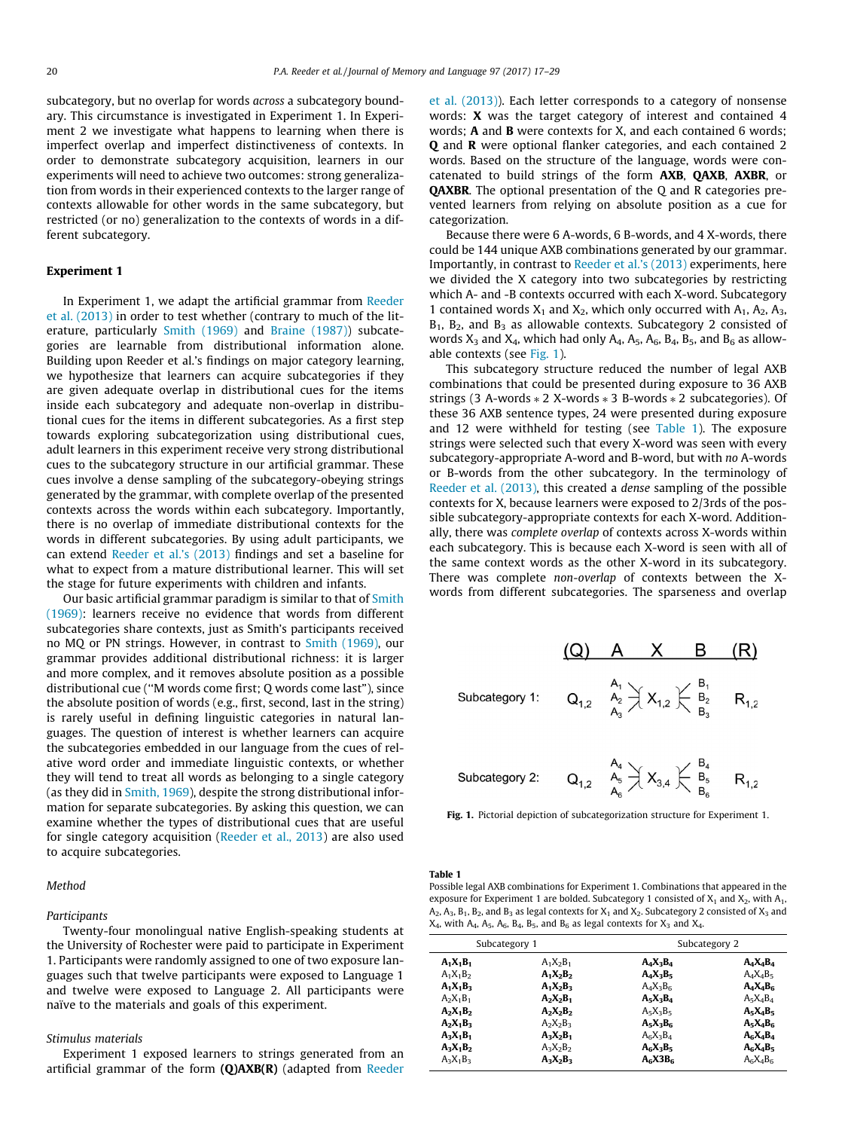<span id="page-3-0"></span>subcategory, but no overlap for words across a subcategory boundary. This circumstance is investigated in Experiment 1. In Experiment 2 we investigate what happens to learning when there is imperfect overlap and imperfect distinctiveness of contexts. In order to demonstrate subcategory acquisition, learners in our experiments will need to achieve two outcomes: strong generalization from words in their experienced contexts to the larger range of contexts allowable for other words in the same subcategory, but restricted (or no) generalization to the contexts of words in a different subcategory.

## Experiment 1

In Experiment 1, we adapt the artificial grammar from [Reeder](#page-12-0) [et al. \(2013\)](#page-12-0) in order to test whether (contrary to much of the literature, particularly [Smith \(1969\)](#page-12-0) and [Braine \(1987\)](#page-11-0)) subcategories are learnable from distributional information alone. Building upon Reeder et al.'s findings on major category learning, we hypothesize that learners can acquire subcategories if they are given adequate overlap in distributional cues for the items inside each subcategory and adequate non-overlap in distributional cues for the items in different subcategories. As a first step towards exploring subcategorization using distributional cues, adult learners in this experiment receive very strong distributional cues to the subcategory structure in our artificial grammar. These cues involve a dense sampling of the subcategory-obeying strings generated by the grammar, with complete overlap of the presented contexts across the words within each subcategory. Importantly, there is no overlap of immediate distributional contexts for the words in different subcategories. By using adult participants, we can extend [Reeder et al.'s \(2013\)](#page-12-0) findings and set a baseline for what to expect from a mature distributional learner. This will set the stage for future experiments with children and infants.

Our basic artificial grammar paradigm is similar to that of [Smith](#page-12-0) [\(1969\):](#page-12-0) learners receive no evidence that words from different subcategories share contexts, just as Smith's participants received no MQ or PN strings. However, in contrast to [Smith \(1969\),](#page-12-0) our grammar provides additional distributional richness: it is larger and more complex, and it removes absolute position as a possible distributional cue (''M words come first; Q words come last"), since the absolute position of words (e.g., first, second, last in the string) is rarely useful in defining linguistic categories in natural languages. The question of interest is whether learners can acquire the subcategories embedded in our language from the cues of relative word order and immediate linguistic contexts, or whether they will tend to treat all words as belonging to a single category (as they did in [Smith, 1969\)](#page-12-0), despite the strong distributional information for separate subcategories. By asking this question, we can examine whether the types of distributional cues that are useful for single category acquisition ([Reeder et al., 2013\)](#page-12-0) are also used to acquire subcategories.

#### Method

#### Participants

Twenty-four monolingual native English-speaking students at the University of Rochester were paid to participate in Experiment 1. Participants were randomly assigned to one of two exposure languages such that twelve participants were exposed to Language 1 and twelve were exposed to Language 2. All participants were naïve to the materials and goals of this experiment.

#### Stimulus materials

Experiment 1 exposed learners to strings generated from an artificial grammar of the form  $(Q)AXB(R)$  (adapted from [Reeder](#page-12-0) [et al. \(2013\)\)](#page-12-0). Each letter corresponds to a category of nonsense words: X was the target category of interest and contained 4 words; A and B were contexts for X, and each contained 6 words; Q and R were optional flanker categories, and each contained 2 words. Based on the structure of the language, words were concatenated to build strings of the form AXB, QAXB, AXBR, or QAXBR. The optional presentation of the Q and R categories prevented learners from relying on absolute position as a cue for categorization.

Because there were 6 A-words, 6 B-words, and 4 X-words, there could be 144 unique AXB combinations generated by our grammar. Importantly, in contrast to [Reeder et al.'s \(2013\)](#page-12-0) experiments, here we divided the X category into two subcategories by restricting which A- and -B contexts occurred with each X-word. Subcategory 1 contained words  $X_1$  and  $X_2$ , which only occurred with  $A_1$ ,  $A_2$ ,  $A_3$ ,  $B_1$ ,  $B_2$ , and  $B_3$  as allowable contexts. Subcategory 2 consisted of words  $X_3$  and  $X_4$ , which had only  $A_4$ ,  $A_5$ ,  $A_6$ ,  $B_4$ ,  $B_5$ , and  $B_6$  as allowable contexts (see Fig. 1).

This subcategory structure reduced the number of legal AXB combinations that could be presented during exposure to 36 AXB strings (3 A-words  $*$  2 X-words  $*$  3 B-words  $*$  2 subcategories). Of these 36 AXB sentence types, 24 were presented during exposure and 12 were withheld for testing (see Table 1). The exposure strings were selected such that every X-word was seen with every subcategory-appropriate A-word and B-word, but with no A-words or B-words from the other subcategory. In the terminology of [Reeder et al. \(2013\)](#page-12-0), this created a dense sampling of the possible contexts for X, because learners were exposed to 2/3rds of the possible subcategory-appropriate contexts for each X-word. Additionally, there was complete overlap of contexts across X-words within each subcategory. This is because each X-word is seen with all of the same context words as the other X-word in its subcategory. There was complete non-overlap of contexts between the Xwords from different subcategories. The sparseness and overlap



Fig. 1. Pictorial depiction of subcategorization structure for Experiment 1.

Table 1

Possible legal AXB combinations for Experiment 1. Combinations that appeared in the exposure for Experiment 1 are bolded. Subcategory 1 consisted of  $X_1$  and  $X_2$ , with  $A_1$ ,  $A_2$ ,  $A_3$ ,  $B_1$ ,  $B_2$ , and  $B_3$  as legal contexts for  $X_1$  and  $X_2$ . Subcategory 2 consisted of  $X_3$  and  $X_4$ , with A<sub>4</sub>, A<sub>5</sub>, A<sub>6</sub>, B<sub>4</sub>, B<sub>5</sub>, and B<sub>6</sub> as legal contexts for  $X_3$  and  $X_4$ .

| Subcategory 1 |             | Subcategory 2 |             |  |
|---------------|-------------|---------------|-------------|--|
| $A_1X_1B_1$   | $A_1X_2B_1$ | $A_4X_3B_4$   | $A_4X_4B_4$ |  |
| $A_1X_1B_2$   | $A_1X_2B_2$ | $A_4X_3B_5$   | $A_4X_4B_5$ |  |
| $A_1X_1B_2$   | $A_1X_2B_3$ | $A_4X_3B_6$   | $A_4X_4B_6$ |  |
| $A_2X_1B_1$   | $A_2X_2B_1$ | $A_5X_3B_4$   | $A_5X_4B_4$ |  |
| $A_2X_1B_2$   | $A_2X_2B_2$ | $A_5X_3B_5$   | $A_5X_4B_5$ |  |
| $A_2X_1B_3$   | $A_2X_2B_3$ | $A_5X_3B_6$   | $A_5X_4B_6$ |  |
| $A_2X_1B_1$   | $A_2X_2B_1$ | $A_6X_3B_4$   | $A_6X_4B_4$ |  |
| $A_3X_1B_2$   | $A_3X_2B_2$ | $A_6X_3B_5$   | $A_6X_4B_5$ |  |
| $A_3X_1B_3$   | $A_3X_2B_3$ | $A_6X3B_6$    | $A_6X_4B_6$ |  |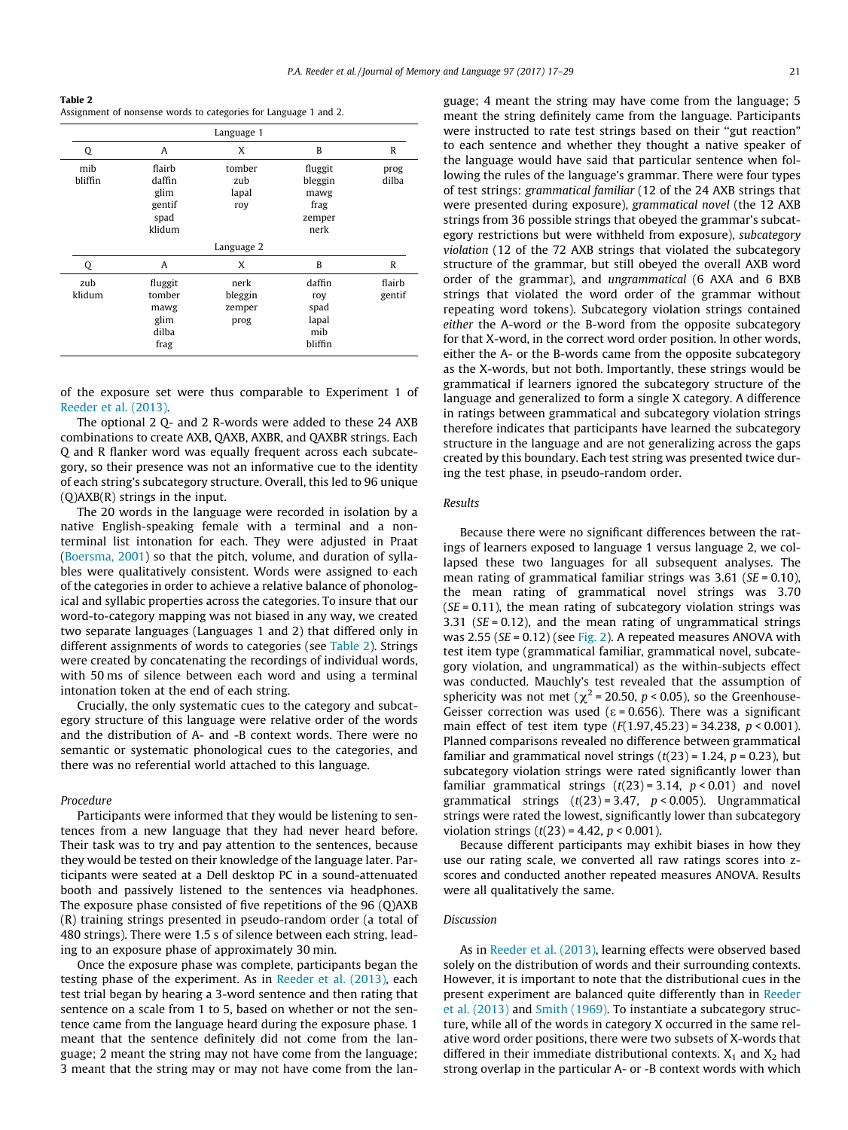Table 2 Assignment of nonsense words to categories for Language 1 and 2.

|                |                                                      | Language 1                        |                                                      |                  |  |
|----------------|------------------------------------------------------|-----------------------------------|------------------------------------------------------|------------------|--|
| Q              | A                                                    | X                                 | B                                                    | R                |  |
| mib<br>bliffin | flairb<br>daffin<br>glim<br>gentif<br>spad<br>klidum | tomber<br>zub<br>lapal<br>roy     | fluggit<br>bleggin<br>mawg<br>frag<br>zemper<br>nerk | prog<br>dilba    |  |
| Language 2     |                                                      |                                   |                                                      |                  |  |
| Q              | A                                                    | X                                 | B                                                    | R                |  |
| zub<br>klidum  | fluggit<br>tomber<br>mawg<br>glim<br>dilba<br>frag   | nerk<br>bleggin<br>zemper<br>prog | daffin<br>roy<br>spad<br>lapal<br>mib<br>bliffin     | flairb<br>gentif |  |

of the exposure set were thus comparable to Experiment 1 of [Reeder et al. \(2013\)](#page-12-0).

The optional 2 Q- and 2 R-words were added to these 24 AXB combinations to create AXB, QAXB, AXBR, and QAXBR strings. Each Q and R flanker word was equally frequent across each subcategory, so their presence was not an informative cue to the identity of each string's subcategory structure. Overall, this led to 96 unique (Q)AXB(R) strings in the input.

The 20 words in the language were recorded in isolation by a native English-speaking female with a terminal and a nonterminal list intonation for each. They were adjusted in Praat ([Boersma, 2001\)](#page-11-0) so that the pitch, volume, and duration of syllables were qualitatively consistent. Words were assigned to each of the categories in order to achieve a relative balance of phonological and syllabic properties across the categories. To insure that our word-to-category mapping was not biased in any way, we created two separate languages (Languages 1 and 2) that differed only in different assignments of words to categories (see Table 2). Strings were created by concatenating the recordings of individual words, with 50 ms of silence between each word and using a terminal intonation token at the end of each string.

Crucially, the only systematic cues to the category and subcategory structure of this language were relative order of the words and the distribution of A- and -B context words. There were no semantic or systematic phonological cues to the categories, and there was no referential world attached to this language.

#### Procedure

Participants were informed that they would be listening to sentences from a new language that they had never heard before. Their task was to try and pay attention to the sentences, because they would be tested on their knowledge of the language later. Participants were seated at a Dell desktop PC in a sound-attenuated booth and passively listened to the sentences via headphones. The exposure phase consisted of five repetitions of the 96 (Q)AXB (R) training strings presented in pseudo-random order (a total of 480 strings). There were 1.5 s of silence between each string, leading to an exposure phase of approximately 30 min.

Once the exposure phase was complete, participants began the testing phase of the experiment. As in [Reeder et al. \(2013\)](#page-12-0), each test trial began by hearing a 3-word sentence and then rating that sentence on a scale from 1 to 5, based on whether or not the sentence came from the language heard during the exposure phase. 1 meant that the sentence definitely did not come from the language; 2 meant the string may not have come from the language; 3 meant that the string may or may not have come from the language; 4 meant the string may have come from the language; 5 meant the string definitely came from the language. Participants were instructed to rate test strings based on their ''gut reaction" to each sentence and whether they thought a native speaker of the language would have said that particular sentence when following the rules of the language's grammar. There were four types of test strings: grammatical familiar (12 of the 24 AXB strings that were presented during exposure), grammatical novel (the 12 AXB strings from 36 possible strings that obeyed the grammar's subcategory restrictions but were withheld from exposure), subcategory violation (12 of the 72 AXB strings that violated the subcategory structure of the grammar, but still obeyed the overall AXB word order of the grammar), and ungrammatical (6 AXA and 6 BXB strings that violated the word order of the grammar without repeating word tokens). Subcategory violation strings contained either the A-word or the B-word from the opposite subcategory for that X-word, in the correct word order position. In other words, either the A- or the B-words came from the opposite subcategory as the X-words, but not both. Importantly, these strings would be grammatical if learners ignored the subcategory structure of the language and generalized to form a single X category. A difference in ratings between grammatical and subcategory violation strings therefore indicates that participants have learned the subcategory structure in the language and are not generalizing across the gaps created by this boundary. Each test string was presented twice during the test phase, in pseudo-random order.

#### Results

Because there were no significant differences between the ratings of learners exposed to language 1 versus language 2, we collapsed these two languages for all subsequent analyses. The mean rating of grammatical familiar strings was  $3.61$  (SE = 0.10), the mean rating of grammatical novel strings was 3.70  $(SE = 0.11)$ , the mean rating of subcategory violation strings was 3.31 ( $SE = 0.12$ ), and the mean rating of ungrammatical strings was  $2.55$  (SE = 0.12) (see [Fig. 2](#page-5-0)). A repeated measures ANOVA with test item type (grammatical familiar, grammatical novel, subcategory violation, and ungrammatical) as the within-subjects effect was conducted. Mauchly's test revealed that the assumption of sphericity was not met ( $\chi^2$  = 20.50, p < 0.05), so the Greenhouse-Geisser correction was used ( $\epsilon$  = 0.656). There was a significant main effect of test item type  $(F(1.97, 45.23) = 34.238, p < 0.001)$ . Planned comparisons revealed no difference between grammatical familiar and grammatical novel strings  $(t(23) = 1.24, p = 0.23)$ , but subcategory violation strings were rated significantly lower than familiar grammatical strings  $(t(23) = 3.14, p < 0.01)$  and novel grammatical strings  $(t(23) = 3.47, p < 0.005)$ . Ungrammatical strings were rated the lowest, significantly lower than subcategory violation strings  $(t(23) = 4.42, p < 0.001)$ .

Because different participants may exhibit biases in how they use our rating scale, we converted all raw ratings scores into zscores and conducted another repeated measures ANOVA. Results were all qualitatively the same.

## Discussion

As in [Reeder et al. \(2013\)](#page-12-0), learning effects were observed based solely on the distribution of words and their surrounding contexts. However, it is important to note that the distributional cues in the present experiment are balanced quite differently than in [Reeder](#page-12-0) [et al. \(2013\)](#page-12-0) and [Smith \(1969\)](#page-12-0). To instantiate a subcategory structure, while all of the words in category X occurred in the same relative word order positions, there were two subsets of X-words that differed in their immediate distributional contexts.  $X_1$  and  $X_2$  had strong overlap in the particular A- or -B context words with which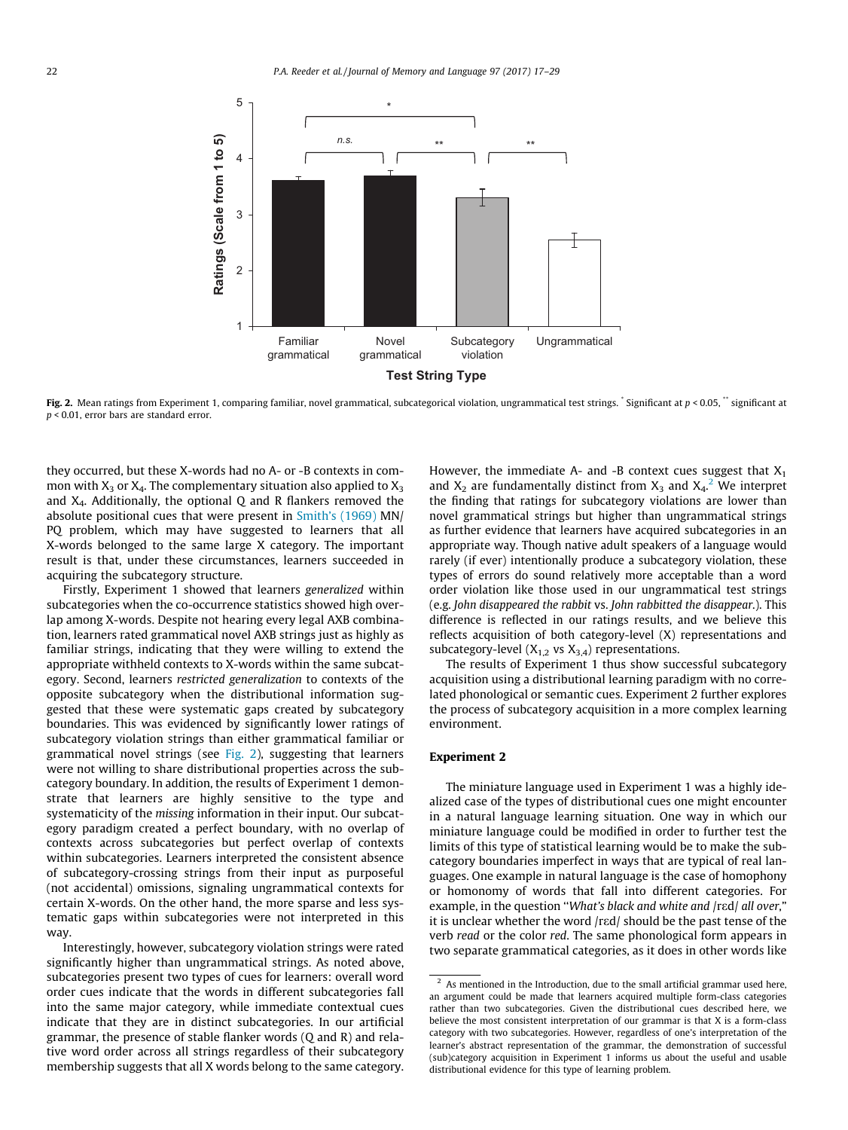<span id="page-5-0"></span>

Fig. 2. Mean ratings from Experiment 1, comparing familiar, novel grammatical, subcategorical violation, ungrammatical test strings.  $\check{\ }$  Significant at  $p < 0.05$ ,  $\check{\ }$  significant at  $p < 0.01$ , error bars are standard error.

they occurred, but these X-words had no A- or -B contexts in common with  $X_3$  or  $X_4$ . The complementary situation also applied to  $X_3$ and  $X_4$ . Additionally, the optional Q and R flankers removed the absolute positional cues that were present in [Smith's \(1969\)](#page-12-0) MN/ PQ problem, which may have suggested to learners that all X-words belonged to the same large X category. The important result is that, under these circumstances, learners succeeded in acquiring the subcategory structure.

Firstly, Experiment 1 showed that learners generalized within subcategories when the co-occurrence statistics showed high overlap among X-words. Despite not hearing every legal AXB combination, learners rated grammatical novel AXB strings just as highly as familiar strings, indicating that they were willing to extend the appropriate withheld contexts to X-words within the same subcategory. Second, learners restricted generalization to contexts of the opposite subcategory when the distributional information suggested that these were systematic gaps created by subcategory boundaries. This was evidenced by significantly lower ratings of subcategory violation strings than either grammatical familiar or grammatical novel strings (see Fig. 2), suggesting that learners were not willing to share distributional properties across the subcategory boundary. In addition, the results of Experiment 1 demonstrate that learners are highly sensitive to the type and systematicity of the missing information in their input. Our subcategory paradigm created a perfect boundary, with no overlap of contexts across subcategories but perfect overlap of contexts within subcategories. Learners interpreted the consistent absence of subcategory-crossing strings from their input as purposeful (not accidental) omissions, signaling ungrammatical contexts for certain X-words. On the other hand, the more sparse and less systematic gaps within subcategories were not interpreted in this way.

Interestingly, however, subcategory violation strings were rated significantly higher than ungrammatical strings. As noted above, subcategories present two types of cues for learners: overall word order cues indicate that the words in different subcategories fall into the same major category, while immediate contextual cues indicate that they are in distinct subcategories. In our artificial grammar, the presence of stable flanker words (Q and R) and relative word order across all strings regardless of their subcategory membership suggests that all X words belong to the same category. However, the immediate A- and -B context cues suggest that  $X_1$ and  $X_2$  are fundamentally distinct from  $X_3$  and  $X_4$ .<sup>2</sup> We interpret the finding that ratings for subcategory violations are lower than novel grammatical strings but higher than ungrammatical strings as further evidence that learners have acquired subcategories in an appropriate way. Though native adult speakers of a language would rarely (if ever) intentionally produce a subcategory violation, these types of errors do sound relatively more acceptable than a word order violation like those used in our ungrammatical test strings (e.g. John disappeared the rabbit vs. John rabbitted the disappear.). This difference is reflected in our ratings results, and we believe this reflects acquisition of both category-level (X) representations and subcategory-level  $(X_{1,2}$  vs  $X_{3,4}$ ) representations.

The results of Experiment 1 thus show successful subcategory acquisition using a distributional learning paradigm with no correlated phonological or semantic cues. Experiment 2 further explores the process of subcategory acquisition in a more complex learning environment.

## Experiment 2

The miniature language used in Experiment 1 was a highly idealized case of the types of distributional cues one might encounter in a natural language learning situation. One way in which our miniature language could be modified in order to further test the limits of this type of statistical learning would be to make the subcategory boundaries imperfect in ways that are typical of real languages. One example in natural language is the case of homophony or homonomy of words that fall into different categories. For example, in the question "What's black and white and /red/ all over," it is unclear whether the word /red/ should be the past tense of the verb read or the color red. The same phonological form appears in two separate grammatical categories, as it does in other words like

 $2$  As mentioned in the Introduction, due to the small artificial grammar used here, an argument could be made that learners acquired multiple form-class categories rather than two subcategories. Given the distributional cues described here, we believe the most consistent interpretation of our grammar is that X is a form-class category with two subcategories. However, regardless of one's interpretation of the learner's abstract representation of the grammar, the demonstration of successful (sub)category acquisition in Experiment 1 informs us about the useful and usable distributional evidence for this type of learning problem.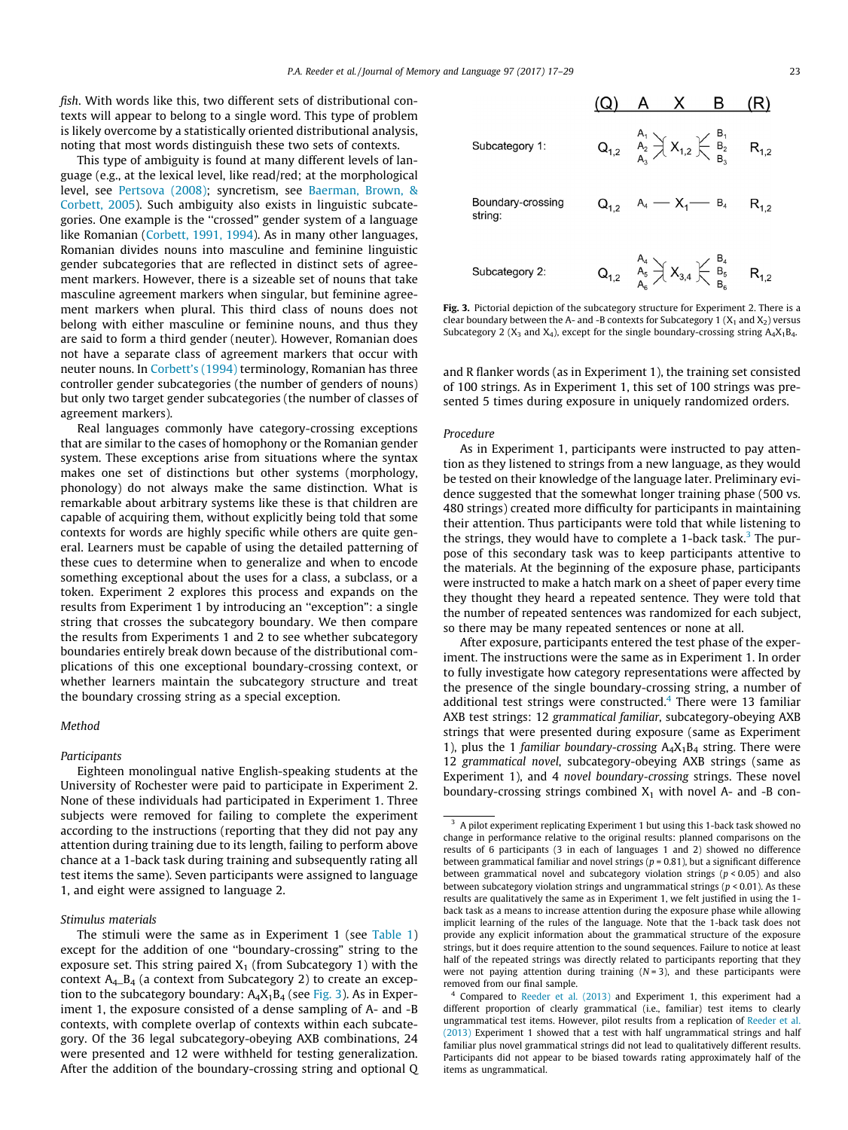fish. With words like this, two different sets of distributional contexts will appear to belong to a single word. This type of problem is likely overcome by a statistically oriented distributional analysis, noting that most words distinguish these two sets of contexts.

This type of ambiguity is found at many different levels of language (e.g., at the lexical level, like read/red; at the morphological level, see [Pertsova \(2008\)](#page-12-0); syncretism, see [Baerman, Brown, &](#page-11-0) [Corbett, 2005](#page-11-0)). Such ambiguity also exists in linguistic subcategories. One example is the ''crossed" gender system of a language like Romanian ([Corbett, 1991, 1994\)](#page-11-0). As in many other languages, Romanian divides nouns into masculine and feminine linguistic gender subcategories that are reflected in distinct sets of agreement markers. However, there is a sizeable set of nouns that take masculine agreement markers when singular, but feminine agreement markers when plural. This third class of nouns does not belong with either masculine or feminine nouns, and thus they are said to form a third gender (neuter). However, Romanian does not have a separate class of agreement markers that occur with neuter nouns. In [Corbett's \(1994\)](#page-11-0) terminology, Romanian has three controller gender subcategories (the number of genders of nouns) but only two target gender subcategories (the number of classes of agreement markers).

Real languages commonly have category-crossing exceptions that are similar to the cases of homophony or the Romanian gender system. These exceptions arise from situations where the syntax makes one set of distinctions but other systems (morphology, phonology) do not always make the same distinction. What is remarkable about arbitrary systems like these is that children are capable of acquiring them, without explicitly being told that some contexts for words are highly specific while others are quite general. Learners must be capable of using the detailed patterning of these cues to determine when to generalize and when to encode something exceptional about the uses for a class, a subclass, or a token. Experiment 2 explores this process and expands on the results from Experiment 1 by introducing an ''exception": a single string that crosses the subcategory boundary. We then compare the results from Experiments 1 and 2 to see whether subcategory boundaries entirely break down because of the distributional complications of this one exceptional boundary-crossing context, or whether learners maintain the subcategory structure and treat the boundary crossing string as a special exception.

#### Method

#### Participants

Eighteen monolingual native English-speaking students at the University of Rochester were paid to participate in Experiment 2. None of these individuals had participated in Experiment 1. Three subjects were removed for failing to complete the experiment according to the instructions (reporting that they did not pay any attention during training due to its length, failing to perform above chance at a 1-back task during training and subsequently rating all test items the same). Seven participants were assigned to language 1, and eight were assigned to language 2.

## Stimulus materials



Fig. 3. Pictorial depiction of the subcategory structure for Experiment 2. There is a clear boundary between the A- and -B contexts for Subcategory 1 ( $X_1$  and  $X_2$ ) versus Subcategory 2 ( $X_3$  and  $X_4$ ), except for the single boundary-crossing string  $A_4X_1B_4$ .

and R flanker words (as in Experiment 1), the training set consisted of 100 strings. As in Experiment 1, this set of 100 strings was presented 5 times during exposure in uniquely randomized orders.

## Procedure

As in Experiment 1, participants were instructed to pay attention as they listened to strings from a new language, as they would be tested on their knowledge of the language later. Preliminary evidence suggested that the somewhat longer training phase (500 vs. 480 strings) created more difficulty for participants in maintaining their attention. Thus participants were told that while listening to the strings, they would have to complete a 1-back task.<sup>3</sup> The purpose of this secondary task was to keep participants attentive to the materials. At the beginning of the exposure phase, participants were instructed to make a hatch mark on a sheet of paper every time they thought they heard a repeated sentence. They were told that the number of repeated sentences was randomized for each subject, so there may be many repeated sentences or none at all.

After exposure, participants entered the test phase of the experiment. The instructions were the same as in Experiment 1. In order to fully investigate how category representations were affected by the presence of the single boundary-crossing string, a number of additional test strings were constructed.<sup>4</sup> There were 13 familiar AXB test strings: 12 grammatical familiar, subcategory-obeying AXB strings that were presented during exposure (same as Experiment 1), plus the 1 familiar boundary-crossing  $A_4X_1B_4$  string. There were 12 grammatical novel, subcategory-obeying AXB strings (same as Experiment 1), and 4 novel boundary-crossing strings. These novel boundary-crossing strings combined  $X_1$  with novel A- and -B con-

The stimuli were the same as in Experiment 1 (see [Table 1\)](#page-3-0) except for the addition of one ''boundary-crossing" string to the exposure set. This string paired  $X_1$  (from Subcategory 1) with the context  $A_4$ <sub>-B<sub>4</sub></sub> (a context from Subcategory 2) to create an exception to the subcategory boundary:  $A_4X_1B_4$  (see Fig. 3). As in Experiment 1, the exposure consisted of a dense sampling of A- and -B contexts, with complete overlap of contexts within each subcategory. Of the 36 legal subcategory-obeying AXB combinations, 24 were presented and 12 were withheld for testing generalization. After the addition of the boundary-crossing string and optional Q

<sup>&</sup>lt;sup>3</sup> A pilot experiment replicating Experiment 1 but using this 1-back task showed no change in performance relative to the original results: planned comparisons on the results of 6 participants (3 in each of languages 1 and 2) showed no difference between grammatical familiar and novel strings ( $p = 0.81$ ), but a significant difference between grammatical novel and subcategory violation strings ( $p < 0.05$ ) and also between subcategory violation strings and ungrammatical strings ( $p < 0.01$ ). As these results are qualitatively the same as in Experiment 1, we felt justified in using the 1 back task as a means to increase attention during the exposure phase while allowing implicit learning of the rules of the language. Note that the 1-back task does not provide any explicit information about the grammatical structure of the exposure strings, but it does require attention to the sound sequences. Failure to notice at least half of the repeated strings was directly related to participants reporting that they were not paying attention during training  $(N = 3)$ , and these participants were removed from our final sample.

 $4$  Compared to [Reeder et al. \(2013\)](#page-12-0) and Experiment 1, this experiment had a different proportion of clearly grammatical (i.e., familiar) test items to clearly ungrammatical test items. However, pilot results from a replication of [Reeder et al.](#page-12-0) [\(2013\)](#page-12-0) Experiment 1 showed that a test with half ungrammatical strings and half familiar plus novel grammatical strings did not lead to qualitatively different results. Participants did not appear to be biased towards rating approximately half of the items as ungrammatical.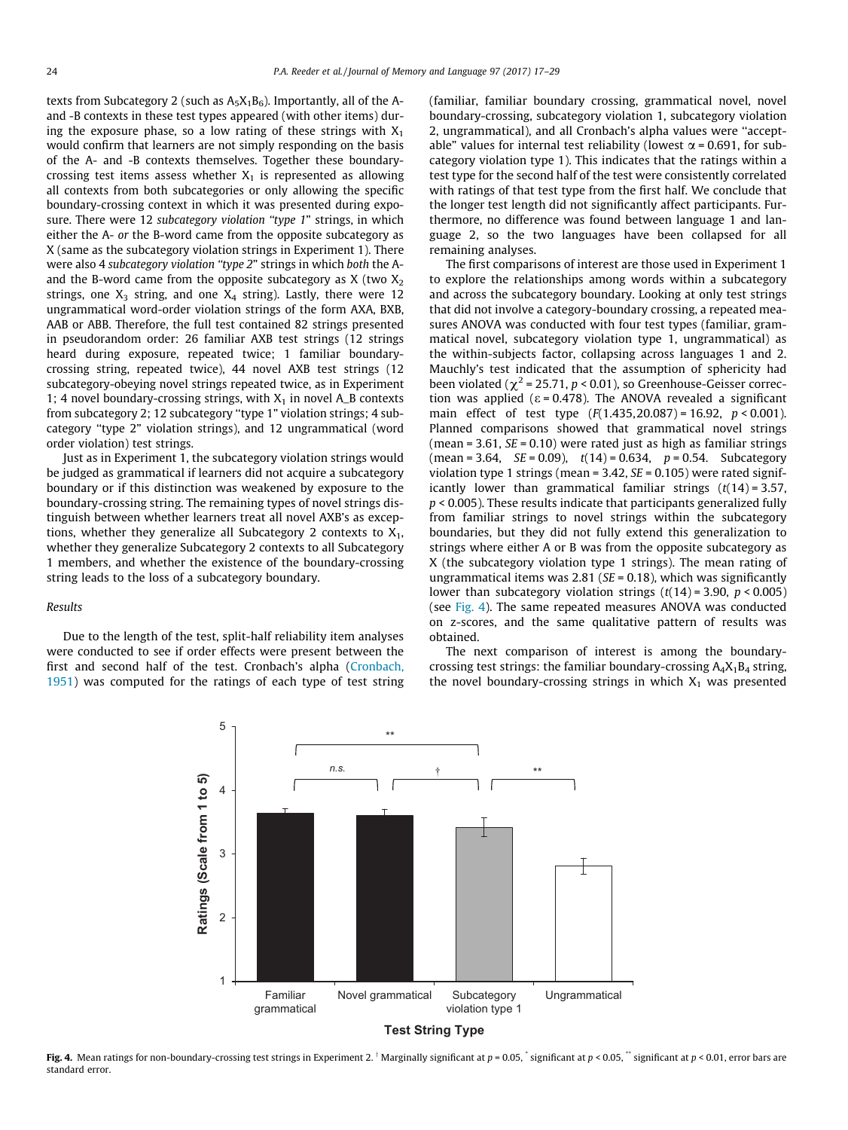texts from Subcategory 2 (such as  $A_5X_1B_6$ ). Importantly, all of the Aand -B contexts in these test types appeared (with other items) during the exposure phase, so a low rating of these strings with  $X_1$ would confirm that learners are not simply responding on the basis of the A- and -B contexts themselves. Together these boundarycrossing test items assess whether  $X_1$  is represented as allowing all contexts from both subcategories or only allowing the specific boundary-crossing context in which it was presented during exposure. There were 12 subcategory violation "type 1" strings, in which either the A- or the B-word came from the opposite subcategory as X (same as the subcategory violation strings in Experiment 1). There were also 4 subcategory violation ''type 2" strings in which both the Aand the B-word came from the opposite subcategory as  $X$  (two  $X_2$ ) strings, one  $X_3$  string, and one  $X_4$  string). Lastly, there were 12 ungrammatical word-order violation strings of the form AXA, BXB, AAB or ABB. Therefore, the full test contained 82 strings presented in pseudorandom order: 26 familiar AXB test strings (12 strings heard during exposure, repeated twice; 1 familiar boundarycrossing string, repeated twice), 44 novel AXB test strings (12 subcategory-obeying novel strings repeated twice, as in Experiment 1; 4 novel boundary-crossing strings, with  $X_1$  in novel A\_B contexts from subcategory 2; 12 subcategory ''type 1" violation strings; 4 subcategory ''type 2" violation strings), and 12 ungrammatical (word order violation) test strings.

Just as in Experiment 1, the subcategory violation strings would be judged as grammatical if learners did not acquire a subcategory boundary or if this distinction was weakened by exposure to the boundary-crossing string. The remaining types of novel strings distinguish between whether learners treat all novel AXB's as exceptions, whether they generalize all Subcategory 2 contexts to  $X_1$ , whether they generalize Subcategory 2 contexts to all Subcategory 1 members, and whether the existence of the boundary-crossing string leads to the loss of a subcategory boundary.

## Results

Due to the length of the test, split-half reliability item analyses were conducted to see if order effects were present between the first and second half of the test. Cronbach's alpha [\(Cronbach,](#page-11-0) [1951\)](#page-11-0) was computed for the ratings of each type of test string

(familiar, familiar boundary crossing, grammatical novel, novel boundary-crossing, subcategory violation 1, subcategory violation 2, ungrammatical), and all Cronbach's alpha values were ''acceptable" values for internal test reliability (lowest  $\alpha$  = 0.691, for subcategory violation type 1). This indicates that the ratings within a test type for the second half of the test were consistently correlated with ratings of that test type from the first half. We conclude that the longer test length did not significantly affect participants. Furthermore, no difference was found between language 1 and language 2, so the two languages have been collapsed for all remaining analyses.

The first comparisons of interest are those used in Experiment 1 to explore the relationships among words within a subcategory and across the subcategory boundary. Looking at only test strings that did not involve a category-boundary crossing, a repeated measures ANOVA was conducted with four test types (familiar, grammatical novel, subcategory violation type 1, ungrammatical) as the within-subjects factor, collapsing across languages 1 and 2. Mauchly's test indicated that the assumption of sphericity had been violated ( $\chi^2$  = 25.71, p < 0.01), so Greenhouse-Geisser correction was applied ( $\varepsilon$  = 0.478). The ANOVA revealed a significant main effect of test type  $(F(1.435, 20.087) = 16.92, p < 0.001)$ . Planned comparisons showed that grammatical novel strings (mean =  $3.61$ ,  $SE = 0.10$ ) were rated just as high as familiar strings  $(mean = 3.64, SE = 0.09), t(14) = 0.634, p = 0.54. Subcategory$ violation type 1 strings (mean =  $3.42$ ,  $SE = 0.105$ ) were rated significantly lower than grammatical familiar strings  $(t(14) = 3.57$ ,  $p$  < 0.005). These results indicate that participants generalized fully from familiar strings to novel strings within the subcategory boundaries, but they did not fully extend this generalization to strings where either A or B was from the opposite subcategory as X (the subcategory violation type 1 strings). The mean rating of ungrammatical items was 2.81 ( $SE = 0.18$ ), which was significantly lower than subcategory violation strings  $(t(14) = 3.90, p < 0.005)$ (see Fig. 4). The same repeated measures ANOVA was conducted on z-scores, and the same qualitative pattern of results was obtained.

The next comparison of interest is among the boundarycrossing test strings: the familiar boundary-crossing  $A_4X_1B_4$  string, the novel boundary-crossing strings in which  $X_1$  was presented



Fig. 4. Mean ratings for non-boundary-crossing test strings in Experiment 2. Marginally significant at p = 0.05, significant at p < 0.05, "significant at p < 0.05, "significant at p < 0.05, "significant at p < 0.05, "sign standard error.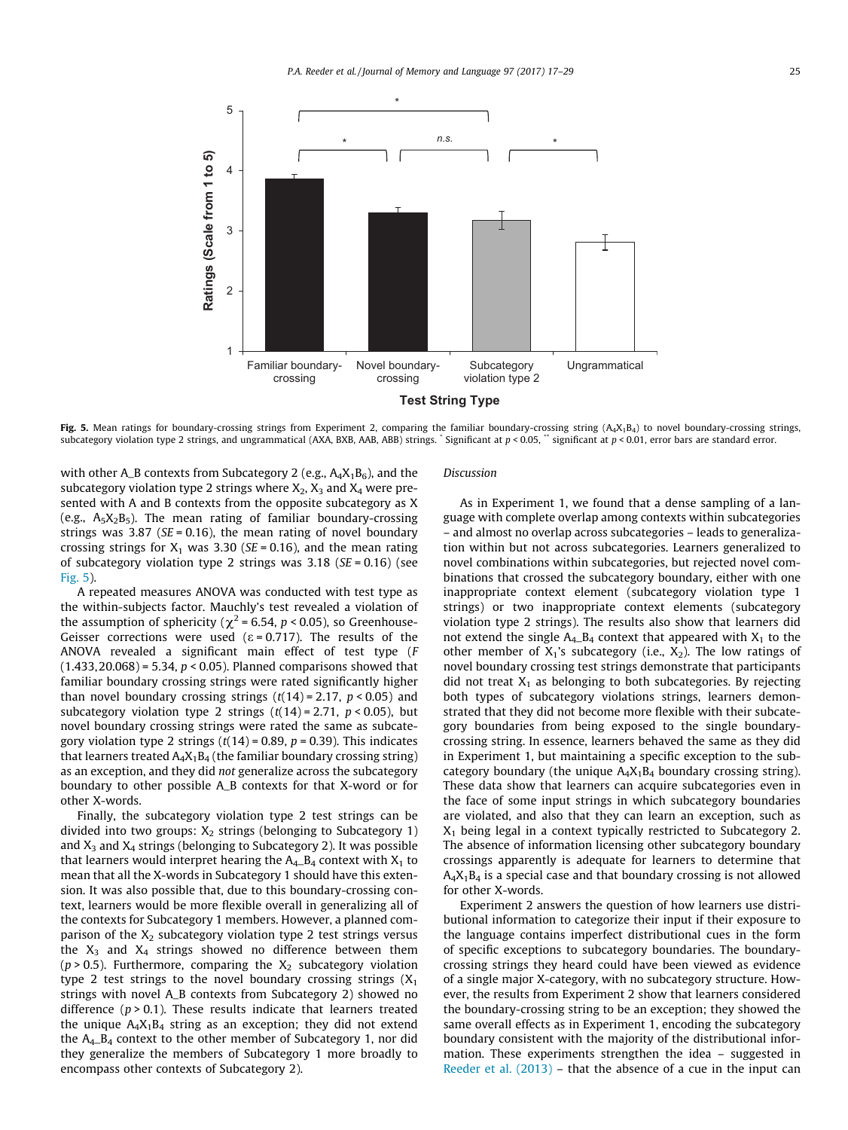

Fig. 5. Mean ratings for boundary-crossing strings from Experiment 2, comparing the familiar boundary-crossing string ( $A_4X_1B_4$ ) to novel boundary-crossing strings, subcategory violation type 2 strings, and ungrammatical (AXA, BXB, AAB, ABB) strings. Significant at  $p < 0.05$ , "significant at  $p < 0.01$ , error bars are standard error.

with other A\_B contexts from Subcategory 2 (e.g.,  $A_4X_1B_6$ ), and the subcategory violation type 2 strings where  $X_2$ ,  $X_3$  and  $X_4$  were presented with A and B contexts from the opposite subcategory as X (e.g.,  $A_5X_2B_5$ ). The mean rating of familiar boundary-crossing strings was 3.87 ( $SE = 0.16$ ), the mean rating of novel boundary crossing strings for  $X_1$  was 3.30 (SE = 0.16), and the mean rating of subcategory violation type 2 strings was  $3.18$  (SE = 0.16) (see Fig. 5).

A repeated measures ANOVA was conducted with test type as the within-subjects factor. Mauchly's test revealed a violation of the assumption of sphericity ( $\chi^2$  = 6.54, p < 0.05), so Greenhouse-Geisser corrections were used ( $\varepsilon$  = 0.717). The results of the ANOVA revealed a significant main effect of test type (F  $(1.433, 20.068) = 5.34, p < 0.05$ ). Planned comparisons showed that familiar boundary crossing strings were rated significantly higher than novel boundary crossing strings  $(t(14) = 2.17, p < 0.05)$  and subcategory violation type 2 strings  $(t(14) = 2.71, p < 0.05)$ , but novel boundary crossing strings were rated the same as subcategory violation type 2 strings  $(t(14) = 0.89, p = 0.39)$ . This indicates that learners treated  $A_4X_1B_4$  (the familiar boundary crossing string) as an exception, and they did not generalize across the subcategory boundary to other possible A\_B contexts for that X-word or for other X-words.

Finally, the subcategory violation type 2 test strings can be divided into two groups:  $X_2$  strings (belonging to Subcategory 1) and  $X_3$  and  $X_4$  strings (belonging to Subcategory 2). It was possible that learners would interpret hearing the  $A_4$ -B<sub>4</sub> context with  $X_1$  to mean that all the X-words in Subcategory 1 should have this extension. It was also possible that, due to this boundary-crossing context, learners would be more flexible overall in generalizing all of the contexts for Subcategory 1 members. However, a planned comparison of the  $X_2$  subcategory violation type 2 test strings versus the  $X_3$  and  $X_4$  strings showed no difference between them ( $p > 0.5$ ). Furthermore, comparing the  $X_2$  subcategory violation type 2 test strings to the novel boundary crossing strings  $(X_1)$ strings with novel A\_B contexts from Subcategory 2) showed no difference  $(p > 0.1)$ . These results indicate that learners treated the unique  $A_4X_1B_4$  string as an exception; they did not extend the A4\_B4 context to the other member of Subcategory 1, nor did they generalize the members of Subcategory 1 more broadly to encompass other contexts of Subcategory 2).

## Discussion

As in Experiment 1, we found that a dense sampling of a language with complete overlap among contexts within subcategories – and almost no overlap across subcategories – leads to generalization within but not across subcategories. Learners generalized to novel combinations within subcategories, but rejected novel combinations that crossed the subcategory boundary, either with one inappropriate context element (subcategory violation type 1 strings) or two inappropriate context elements (subcategory violation type 2 strings). The results also show that learners did not extend the single  $A_4$ - $B_4$  context that appeared with  $X_1$  to the other member of  $X_1$ 's subcategory (i.e.,  $X_2$ ). The low ratings of novel boundary crossing test strings demonstrate that participants did not treat  $X_1$  as belonging to both subcategories. By rejecting both types of subcategory violations strings, learners demonstrated that they did not become more flexible with their subcategory boundaries from being exposed to the single boundarycrossing string. In essence, learners behaved the same as they did in Experiment 1, but maintaining a specific exception to the subcategory boundary (the unique  $A_4X_1B_4$  boundary crossing string). These data show that learners can acquire subcategories even in the face of some input strings in which subcategory boundaries are violated, and also that they can learn an exception, such as  $X_1$  being legal in a context typically restricted to Subcategory 2. The absence of information licensing other subcategory boundary crossings apparently is adequate for learners to determine that  $A_4X_1B_4$  is a special case and that boundary crossing is not allowed for other X-words.

Experiment 2 answers the question of how learners use distributional information to categorize their input if their exposure to the language contains imperfect distributional cues in the form of specific exceptions to subcategory boundaries. The boundarycrossing strings they heard could have been viewed as evidence of a single major X-category, with no subcategory structure. However, the results from Experiment 2 show that learners considered the boundary-crossing string to be an exception; they showed the same overall effects as in Experiment 1, encoding the subcategory boundary consistent with the majority of the distributional information. These experiments strengthen the idea – suggested in [Reeder et al. \(2013\)](#page-12-0) – that the absence of a cue in the input can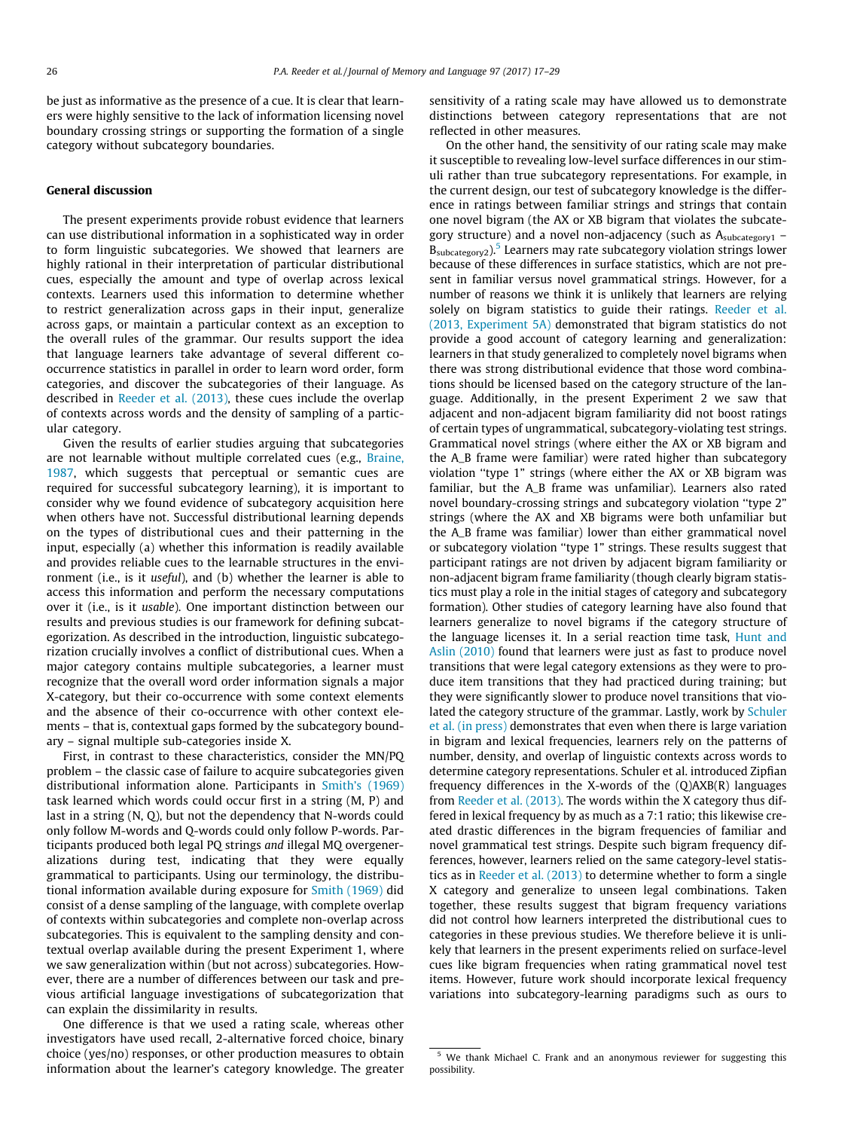be just as informative as the presence of a cue. It is clear that learners were highly sensitive to the lack of information licensing novel boundary crossing strings or supporting the formation of a single category without subcategory boundaries.

## General discussion

The present experiments provide robust evidence that learners can use distributional information in a sophisticated way in order to form linguistic subcategories. We showed that learners are highly rational in their interpretation of particular distributional cues, especially the amount and type of overlap across lexical contexts. Learners used this information to determine whether to restrict generalization across gaps in their input, generalize across gaps, or maintain a particular context as an exception to the overall rules of the grammar. Our results support the idea that language learners take advantage of several different cooccurrence statistics in parallel in order to learn word order, form categories, and discover the subcategories of their language. As described in [Reeder et al. \(2013\)](#page-12-0), these cues include the overlap of contexts across words and the density of sampling of a particular category.

Given the results of earlier studies arguing that subcategories are not learnable without multiple correlated cues (e.g., [Braine,](#page-11-0) [1987,](#page-11-0) which suggests that perceptual or semantic cues are required for successful subcategory learning), it is important to consider why we found evidence of subcategory acquisition here when others have not. Successful distributional learning depends on the types of distributional cues and their patterning in the input, especially (a) whether this information is readily available and provides reliable cues to the learnable structures in the environment (i.e., is it *useful*), and (b) whether the learner is able to access this information and perform the necessary computations over it (i.e., is it usable). One important distinction between our results and previous studies is our framework for defining subcategorization. As described in the introduction, linguistic subcategorization crucially involves a conflict of distributional cues. When a major category contains multiple subcategories, a learner must recognize that the overall word order information signals a major X-category, but their co-occurrence with some context elements and the absence of their co-occurrence with other context elements – that is, contextual gaps formed by the subcategory boundary – signal multiple sub-categories inside X.

First, in contrast to these characteristics, consider the MN/PQ problem – the classic case of failure to acquire subcategories given distributional information alone. Participants in [Smith's \(1969\)](#page-12-0) task learned which words could occur first in a string (M, P) and last in a string (N, Q), but not the dependency that N-words could only follow M-words and Q-words could only follow P-words. Participants produced both legal PQ strings and illegal MQ overgeneralizations during test, indicating that they were equally grammatical to participants. Using our terminology, the distributional information available during exposure for [Smith \(1969\)](#page-12-0) did consist of a dense sampling of the language, with complete overlap of contexts within subcategories and complete non-overlap across subcategories. This is equivalent to the sampling density and contextual overlap available during the present Experiment 1, where we saw generalization within (but not across) subcategories. However, there are a number of differences between our task and previous artificial language investigations of subcategorization that can explain the dissimilarity in results.

One difference is that we used a rating scale, whereas other investigators have used recall, 2-alternative forced choice, binary choice (yes/no) responses, or other production measures to obtain information about the learner's category knowledge. The greater sensitivity of a rating scale may have allowed us to demonstrate distinctions between category representations that are not reflected in other measures.

On the other hand, the sensitivity of our rating scale may make it susceptible to revealing low-level surface differences in our stimuli rather than true subcategory representations. For example, in the current design, our test of subcategory knowledge is the difference in ratings between familiar strings and strings that contain one novel bigram (the AX or XB bigram that violates the subcategory structure) and a novel non-adjacency (such as A<sub>subcategory1</sub> - $B_{subcategory}$ ).<sup>5</sup> Learners may rate subcategory violation strings lower because of these differences in surface statistics, which are not present in familiar versus novel grammatical strings. However, for a number of reasons we think it is unlikely that learners are relying solely on bigram statistics to guide their ratings. [Reeder et al.](#page-12-0) [\(2013, Experiment 5A\)](#page-12-0) demonstrated that bigram statistics do not provide a good account of category learning and generalization: learners in that study generalized to completely novel bigrams when there was strong distributional evidence that those word combinations should be licensed based on the category structure of the language. Additionally, in the present Experiment 2 we saw that adjacent and non-adjacent bigram familiarity did not boost ratings of certain types of ungrammatical, subcategory-violating test strings. Grammatical novel strings (where either the AX or XB bigram and the A\_B frame were familiar) were rated higher than subcategory violation ''type 1" strings (where either the AX or XB bigram was familiar, but the A\_B frame was unfamiliar). Learners also rated novel boundary-crossing strings and subcategory violation ''type 2" strings (where the AX and XB bigrams were both unfamiliar but the A\_B frame was familiar) lower than either grammatical novel or subcategory violation ''type 1" strings. These results suggest that participant ratings are not driven by adjacent bigram familiarity or non-adjacent bigram frame familiarity (though clearly bigram statistics must play a role in the initial stages of category and subcategory formation). Other studies of category learning have also found that learners generalize to novel bigrams if the category structure of the language licenses it. In a serial reaction time task, [Hunt and](#page-12-0) [Aslin \(2010\)](#page-12-0) found that learners were just as fast to produce novel transitions that were legal category extensions as they were to produce item transitions that they had practiced during training; but they were significantly slower to produce novel transitions that violated the category structure of the grammar. Lastly, work by [Schuler](#page-12-0) [et al. \(in press\)](#page-12-0) demonstrates that even when there is large variation in bigram and lexical frequencies, learners rely on the patterns of number, density, and overlap of linguistic contexts across words to determine category representations. Schuler et al. introduced Zipfian frequency differences in the X-words of the (Q)AXB(R) languages from [Reeder et al. \(2013\).](#page-12-0) The words within the X category thus differed in lexical frequency by as much as a 7:1 ratio; this likewise created drastic differences in the bigram frequencies of familiar and novel grammatical test strings. Despite such bigram frequency differences, however, learners relied on the same category-level statistics as in [Reeder et al. \(2013\)](#page-12-0) to determine whether to form a single X category and generalize to unseen legal combinations. Taken together, these results suggest that bigram frequency variations did not control how learners interpreted the distributional cues to categories in these previous studies. We therefore believe it is unlikely that learners in the present experiments relied on surface-level cues like bigram frequencies when rating grammatical novel test items. However, future work should incorporate lexical frequency variations into subcategory-learning paradigms such as ours to

<sup>5</sup> We thank Michael C. Frank and an anonymous reviewer for suggesting this possibility.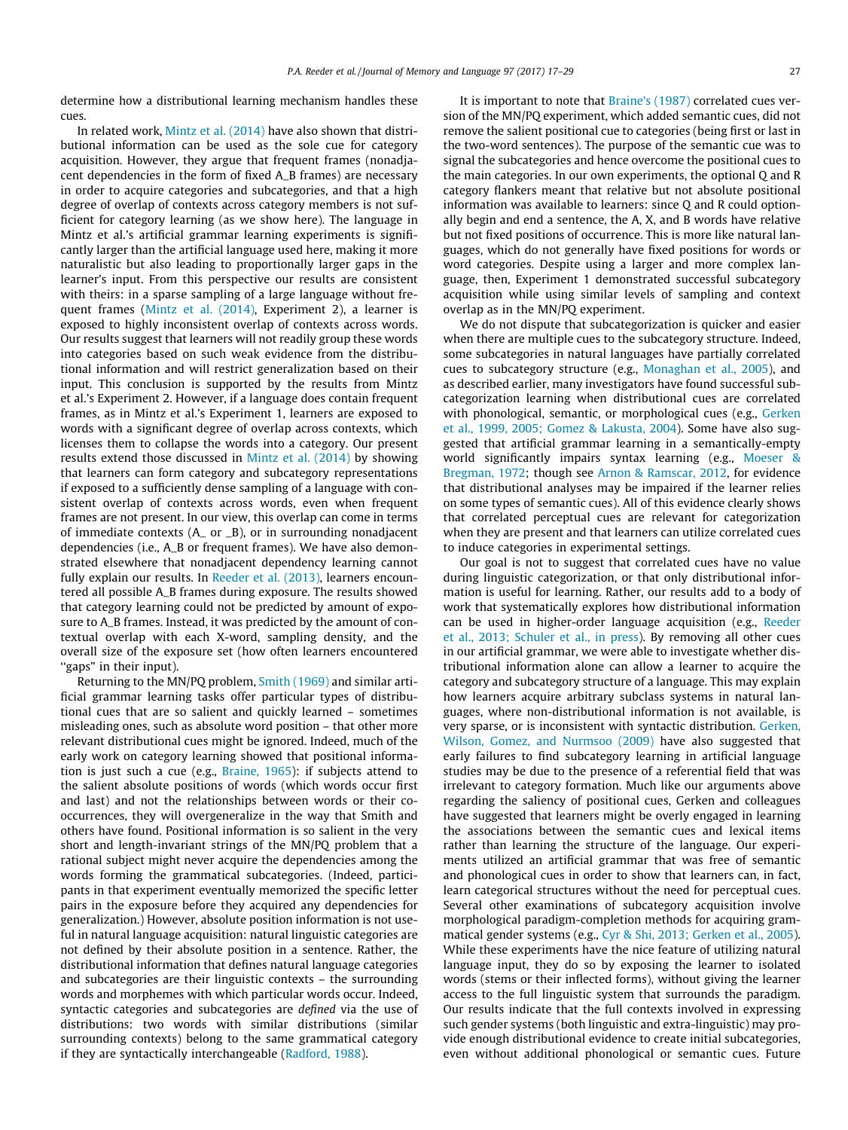determine how a distributional learning mechanism handles these cues.

In related work, [Mintz et al. \(2014\)](#page-12-0) have also shown that distributional information can be used as the sole cue for category acquisition. However, they argue that frequent frames (nonadjacent dependencies in the form of fixed A\_B frames) are necessary in order to acquire categories and subcategories, and that a high degree of overlap of contexts across category members is not sufficient for category learning (as we show here). The language in Mintz et al.'s artificial grammar learning experiments is significantly larger than the artificial language used here, making it more naturalistic but also leading to proportionally larger gaps in the learner's input. From this perspective our results are consistent with theirs: in a sparse sampling of a large language without frequent frames [\(Mintz et al. \(2014\),](#page-12-0) Experiment 2), a learner is exposed to highly inconsistent overlap of contexts across words. Our results suggest that learners will not readily group these words into categories based on such weak evidence from the distributional information and will restrict generalization based on their input. This conclusion is supported by the results from Mintz et al.'s Experiment 2. However, if a language does contain frequent frames, as in Mintz et al.'s Experiment 1, learners are exposed to words with a significant degree of overlap across contexts, which licenses them to collapse the words into a category. Our present results extend those discussed in [Mintz et al. \(2014\)](#page-12-0) by showing that learners can form category and subcategory representations if exposed to a sufficiently dense sampling of a language with consistent overlap of contexts across words, even when frequent frames are not present. In our view, this overlap can come in terms of immediate contexts (A\_ or \_B), or in surrounding nonadjacent dependencies (i.e., A\_B or frequent frames). We have also demonstrated elsewhere that nonadjacent dependency learning cannot fully explain our results. In [Reeder et al. \(2013\),](#page-12-0) learners encountered all possible A\_B frames during exposure. The results showed that category learning could not be predicted by amount of exposure to A\_B frames. Instead, it was predicted by the amount of contextual overlap with each X-word, sampling density, and the overall size of the exposure set (how often learners encountered ''gaps" in their input).

Returning to the MN/PQ problem, [Smith \(1969\)](#page-12-0) and similar artificial grammar learning tasks offer particular types of distributional cues that are so salient and quickly learned – sometimes misleading ones, such as absolute word position – that other more relevant distributional cues might be ignored. Indeed, much of the early work on category learning showed that positional information is just such a cue (e.g., [Braine, 1965\)](#page-11-0): if subjects attend to the salient absolute positions of words (which words occur first and last) and not the relationships between words or their cooccurrences, they will overgeneralize in the way that Smith and others have found. Positional information is so salient in the very short and length-invariant strings of the MN/PQ problem that a rational subject might never acquire the dependencies among the words forming the grammatical subcategories. (Indeed, participants in that experiment eventually memorized the specific letter pairs in the exposure before they acquired any dependencies for generalization.) However, absolute position information is not useful in natural language acquisition: natural linguistic categories are not defined by their absolute position in a sentence. Rather, the distributional information that defines natural language categories and subcategories are their linguistic contexts – the surrounding words and morphemes with which particular words occur. Indeed, syntactic categories and subcategories are defined via the use of distributions: two words with similar distributions (similar surrounding contexts) belong to the same grammatical category if they are syntactically interchangeable ([Radford, 1988\)](#page-12-0).

It is important to note that [Braine's \(1987\)](#page-11-0) correlated cues version of the MN/PQ experiment, which added semantic cues, did not remove the salient positional cue to categories (being first or last in the two-word sentences). The purpose of the semantic cue was to signal the subcategories and hence overcome the positional cues to the main categories. In our own experiments, the optional Q and R category flankers meant that relative but not absolute positional information was available to learners: since Q and R could optionally begin and end a sentence, the A, X, and B words have relative but not fixed positions of occurrence. This is more like natural languages, which do not generally have fixed positions for words or word categories. Despite using a larger and more complex language, then, Experiment 1 demonstrated successful subcategory acquisition while using similar levels of sampling and context overlap as in the MN/PQ experiment.

We do not dispute that subcategorization is quicker and easier when there are multiple cues to the subcategory structure. Indeed, some subcategories in natural languages have partially correlated cues to subcategory structure (e.g., [Monaghan et al., 2005\)](#page-12-0), and as described earlier, many investigators have found successful subcategorization learning when distributional cues are correlated with phonological, semantic, or morphological cues (e.g., [Gerken](#page-11-0) [et al., 1999, 2005; Gomez & Lakusta, 2004](#page-11-0)). Some have also suggested that artificial grammar learning in a semantically-empty world significantly impairs syntax learning (e.g., [Moeser &](#page-12-0) [Bregman, 1972](#page-12-0); though see [Arnon & Ramscar, 2012,](#page-11-0) for evidence that distributional analyses may be impaired if the learner relies on some types of semantic cues). All of this evidence clearly shows that correlated perceptual cues are relevant for categorization when they are present and that learners can utilize correlated cues to induce categories in experimental settings.

Our goal is not to suggest that correlated cues have no value during linguistic categorization, or that only distributional information is useful for learning. Rather, our results add to a body of work that systematically explores how distributional information can be used in higher-order language acquisition (e.g., [Reeder](#page-12-0) [et al., 2013; Schuler et al., in press\)](#page-12-0). By removing all other cues in our artificial grammar, we were able to investigate whether distributional information alone can allow a learner to acquire the category and subcategory structure of a language. This may explain how learners acquire arbitrary subclass systems in natural languages, where non-distributional information is not available, is very sparse, or is inconsistent with syntactic distribution. [Gerken,](#page-11-0) [Wilson, Gomez, and Nurmsoo \(2009\)](#page-11-0) have also suggested that early failures to find subcategory learning in artificial language studies may be due to the presence of a referential field that was irrelevant to category formation. Much like our arguments above regarding the saliency of positional cues, Gerken and colleagues have suggested that learners might be overly engaged in learning the associations between the semantic cues and lexical items rather than learning the structure of the language. Our experiments utilized an artificial grammar that was free of semantic and phonological cues in order to show that learners can, in fact, learn categorical structures without the need for perceptual cues. Several other examinations of subcategory acquisition involve morphological paradigm-completion methods for acquiring grammatical gender systems (e.g., [Cyr & Shi, 2013; Gerken et al., 2005\)](#page-11-0). While these experiments have the nice feature of utilizing natural language input, they do so by exposing the learner to isolated words (stems or their inflected forms), without giving the learner access to the full linguistic system that surrounds the paradigm. Our results indicate that the full contexts involved in expressing such gender systems (both linguistic and extra-linguistic) may provide enough distributional evidence to create initial subcategories, even without additional phonological or semantic cues. Future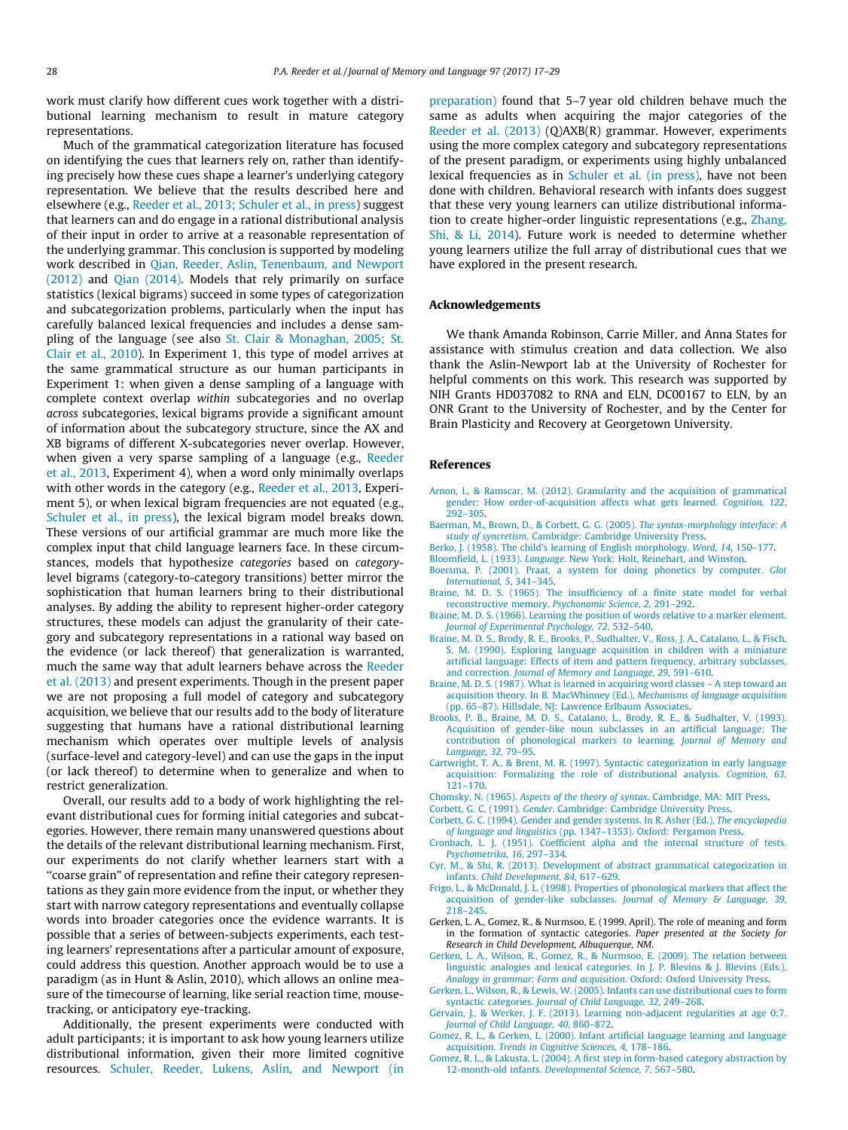<span id="page-11-0"></span>work must clarify how different cues work together with a distributional learning mechanism to result in mature category representations.

Much of the grammatical categorization literature has focused on identifying the cues that learners rely on, rather than identifying precisely how these cues shape a learner's underlying category representation. We believe that the results described here and elsewhere (e.g., [Reeder et al., 2013; Schuler et al., in press](#page-12-0)) suggest that learners can and do engage in a rational distributional analysis of their input in order to arrive at a reasonable representation of the underlying grammar. This conclusion is supported by modeling work described in [Qian, Reeder, Aslin, Tenenbaum, and Newport](#page-12-0) [\(2012\)](#page-12-0) and [Qian \(2014\)](#page-12-0). Models that rely primarily on surface statistics (lexical bigrams) succeed in some types of categorization and subcategorization problems, particularly when the input has carefully balanced lexical frequencies and includes a dense sampling of the language (see also [St. Clair & Monaghan, 2005; St.](#page-12-0) [Clair et al., 2010\)](#page-12-0). In Experiment 1, this type of model arrives at the same grammatical structure as our human participants in Experiment 1: when given a dense sampling of a language with complete context overlap within subcategories and no overlap across subcategories, lexical bigrams provide a significant amount of information about the subcategory structure, since the AX and XB bigrams of different X-subcategories never overlap. However, when given a very sparse sampling of a language (e.g., [Reeder](#page-12-0) [et al., 2013,](#page-12-0) Experiment 4), when a word only minimally overlaps with other words in the category (e.g., [Reeder et al., 2013,](#page-12-0) Experiment 5), or when lexical bigram frequencies are not equated (e.g., [Schuler et al., in press\)](#page-12-0), the lexical bigram model breaks down. These versions of our artificial grammar are much more like the complex input that child language learners face. In these circumstances, models that hypothesize categories based on categorylevel bigrams (category-to-category transitions) better mirror the sophistication that human learners bring to their distributional analyses. By adding the ability to represent higher-order category structures, these models can adjust the granularity of their category and subcategory representations in a rational way based on the evidence (or lack thereof) that generalization is warranted, much the same way that adult learners behave across the [Reeder](#page-12-0) [et al. \(2013\)](#page-12-0) and present experiments. Though in the present paper we are not proposing a full model of category and subcategory acquisition, we believe that our results add to the body of literature suggesting that humans have a rational distributional learning mechanism which operates over multiple levels of analysis (surface-level and category-level) and can use the gaps in the input (or lack thereof) to determine when to generalize and when to restrict generalization.

Overall, our results add to a body of work highlighting the relevant distributional cues for forming initial categories and subcategories. However, there remain many unanswered questions about the details of the relevant distributional learning mechanism. First, our experiments do not clarify whether learners start with a ''coarse grain" of representation and refine their category representations as they gain more evidence from the input, or whether they start with narrow category representations and eventually collapse words into broader categories once the evidence warrants. It is possible that a series of between-subjects experiments, each testing learners' representations after a particular amount of exposure, could address this question. Another approach would be to use a paradigm (as in Hunt & Aslin, 2010), which allows an online measure of the timecourse of learning, like serial reaction time, mousetracking, or anticipatory eye-tracking.

Additionally, the present experiments were conducted with adult participants; it is important to ask how young learners utilize distributional information, given their more limited cognitive resources. [Schuler, Reeder, Lukens, Aslin, and Newport \(in](#page-12-0) [preparation\)](#page-12-0) found that 5–7 year old children behave much the same as adults when acquiring the major categories of the [Reeder et al. \(2013\)](#page-12-0) (Q)AXB(R) grammar. However, experiments using the more complex category and subcategory representations of the present paradigm, or experiments using highly unbalanced lexical frequencies as in [Schuler et al. \(in press\)](#page-12-0), have not been done with children. Behavioral research with infants does suggest that these very young learners can utilize distributional information to create higher-order linguistic representations (e.g., [Zhang,](#page-12-0) [Shi, & Li, 2014](#page-12-0)). Future work is needed to determine whether young learners utilize the full array of distributional cues that we have explored in the present research.

#### Acknowledgements

We thank Amanda Robinson, Carrie Miller, and Anna States for assistance with stimulus creation and data collection. We also thank the Aslin-Newport lab at the University of Rochester for helpful comments on this work. This research was supported by NIH Grants HD037082 to RNA and ELN, DC00167 to ELN, by an ONR Grant to the University of Rochester, and by the Center for Brain Plasticity and Recovery at Georgetown University.

#### References

- [Arnon, I., & Ramscar, M. \(2012\). Granularity and the acquisition of grammatical](http://refhub.elsevier.com/S0749-596X(17)30052-9/h0005) [gender: How order-of-acquisition affects what gets learned.](http://refhub.elsevier.com/S0749-596X(17)30052-9/h0005) Cognition, 122, [292–305](http://refhub.elsevier.com/S0749-596X(17)30052-9/h0005).
- [Baerman, M., Brown, D., & Corbett, G. G. \(2005\).](http://refhub.elsevier.com/S0749-596X(17)30052-9/h0015) The syntax-morphology interface: A study of syncretism[. Cambridge: Cambridge University Press.](http://refhub.elsevier.com/S0749-596X(17)30052-9/h0015)
- [Berko, J. \(1958\). The child's learning of English morphology.](http://refhub.elsevier.com/S0749-596X(17)30052-9/h0020) Word, 14, 150–177.
- Bloomfield, L. (1933). Language[. New York: Holt, Reinehart, and Winston.](http://refhub.elsevier.com/S0749-596X(17)30052-9/h0025)
- [Boersma, P. \(2001\). Praat, a system for doing phonetics by computer.](http://refhub.elsevier.com/S0749-596X(17)30052-9/h0030) Glot [International, 5](http://refhub.elsevier.com/S0749-596X(17)30052-9/h0030), 341–345.
- [Braine, M. D. S. \(1965\). The insufficiency of a finite state model for verbal](http://refhub.elsevier.com/S0749-596X(17)30052-9/h0045) [reconstructive memory.](http://refhub.elsevier.com/S0749-596X(17)30052-9/h0045) Psychonomic Science, 2, 291–292.
- [Braine, M. D. S. \(1966\). Learning the position of words relative to a marker element.](http://refhub.elsevier.com/S0749-596X(17)30052-9/h0050) [Journal of Experimental Psychology, 72](http://refhub.elsevier.com/S0749-596X(17)30052-9/h0050), 532–540.
- [Braine, M. D. S., Brody, R. E., Brooks, P., Sudhalter, V., Ross, J. A., Catalano, L., & Fisch,](http://refhub.elsevier.com/S0749-596X(17)30052-9/h0055) [S. M. \(1990\). Exploring language acquisition in children with a miniature](http://refhub.elsevier.com/S0749-596X(17)30052-9/h0055) [artificial language: Effects of item and pattern frequency, arbitrary subclasses,](http://refhub.elsevier.com/S0749-596X(17)30052-9/h0055) and correction. [Journal of Memory and Language, 29](http://refhub.elsevier.com/S0749-596X(17)30052-9/h0055), 591–610.
- [Braine, M. D. S. \(1987\). What is learned in acquiring word classes A step toward an](http://refhub.elsevier.com/S0749-596X(17)30052-9/h0060) [acquisition theory. In B. MacWhinney \(Ed.\),](http://refhub.elsevier.com/S0749-596X(17)30052-9/h0060) Mechanisms of language acquisition [\(pp. 65–87\). Hillsdale, NJ: Lawrence Erlbaum Associates.](http://refhub.elsevier.com/S0749-596X(17)30052-9/h0060)
- [Brooks, P. B., Braine, M. D. S., Catalano, L., Brody, R. E., & Sudhalter, V. \(1993\).](http://refhub.elsevier.com/S0749-596X(17)30052-9/h0065) [Acquisition of gender-like noun subclasses in an artificial language: The](http://refhub.elsevier.com/S0749-596X(17)30052-9/h0065) [contribution of phonological markers to learning.](http://refhub.elsevier.com/S0749-596X(17)30052-9/h0065) Journal of Memory and [Language, 32](http://refhub.elsevier.com/S0749-596X(17)30052-9/h0065), 79–95.
- [Cartwright, T. A., & Brent, M. R. \(1997\). Syntactic categorization in early language](http://refhub.elsevier.com/S0749-596X(17)30052-9/h0075) [acquisition: Formalizing the role of distributional analysis.](http://refhub.elsevier.com/S0749-596X(17)30052-9/h0075) Cognition, 63, [121–170](http://refhub.elsevier.com/S0749-596X(17)30052-9/h0075).
- Chomsky, N. (1965). [Aspects of the theory of syntax](http://refhub.elsevier.com/S0749-596X(17)30052-9/h0080). Cambridge, MA: MIT Press.
- Corbett, G. C. (1991). Gender[. Cambridge: Cambridge University Press.](http://refhub.elsevier.com/S0749-596X(17)30052-9/h0085)
- [Corbett, G. C. \(1994\). Gender and gender systems. In R. Asher \(Ed.\),](http://refhub.elsevier.com/S0749-596X(17)30052-9/h0090) The encyclopedia of language and linguistics [\(pp. 1347–1353\). Oxford: Pergamon Press.](http://refhub.elsevier.com/S0749-596X(17)30052-9/h0090)
- [Cronbach, L. J. \(1951\). Coefficient alpha and the internal structure of tests.](http://refhub.elsevier.com/S0749-596X(17)30052-9/h0095) [Psychometrika, 16](http://refhub.elsevier.com/S0749-596X(17)30052-9/h0095), 297–334.
- [Cyr, M., & Shi, R. \(2013\). Development of abstract grammatical categorization in](http://refhub.elsevier.com/S0749-596X(17)30052-9/h0100) infants. [Child Development, 84](http://refhub.elsevier.com/S0749-596X(17)30052-9/h0100), 617–629.
- [Frigo, L., & McDonald, J. L. \(1998\). Properties of phonological markers that affect the](http://refhub.elsevier.com/S0749-596X(17)30052-9/h0105) [acquisition of gender-like subclasses.](http://refhub.elsevier.com/S0749-596X(17)30052-9/h0105) Journal of Memory & Language, 39, [218–245](http://refhub.elsevier.com/S0749-596X(17)30052-9/h0105).
- Gerken, L. A., Gomez, R., & Nurmsoo, E. (1999, April). The role of meaning and form in the formation of syntactic categories. Paper presented at the Society for Research in Child Development, Albuquerque, NM.
- [Gerken, L. A., Wilson, R., Gomez, R., & Nurmsoo, E. \(2009\). The relation between](http://refhub.elsevier.com/S0749-596X(17)30052-9/h0120) [linguistic analogies and lexical categories. In J. P. Blevins & J. Blevins \(Eds.\),](http://refhub.elsevier.com/S0749-596X(17)30052-9/h0120) [Analogy in grammar: Form and acquisition](http://refhub.elsevier.com/S0749-596X(17)30052-9/h0120). Oxford: Oxford University Press.
- [Gerken, L., Wilson, R., & Lewis, W. \(2005\). Infants can use distributional cues to form](http://refhub.elsevier.com/S0749-596X(17)30052-9/h0125) syntactic categories. [Journal of Child Language, 32](http://refhub.elsevier.com/S0749-596X(17)30052-9/h0125), 249–268.
- [Gervain, J., & Werker, J. F. \(2013\). Learning non-adjacent regularities at age 0;7.](http://refhub.elsevier.com/S0749-596X(17)30052-9/h0130) [Journal of Child Language, 40](http://refhub.elsevier.com/S0749-596X(17)30052-9/h0130), 860–872.
- [Gomez, R. L., & Gerken, L. \(2000\). Infant artificial language learning and language](http://refhub.elsevier.com/S0749-596X(17)30052-9/h0135) acquisition. [Trends in Cognitive Sciences, 4](http://refhub.elsevier.com/S0749-596X(17)30052-9/h0135), 178–186.
- [Gomez, R. L., & Lakusta, L. \(2004\). A first step in form-based category abstraction by](http://refhub.elsevier.com/S0749-596X(17)30052-9/h0140) 12-month-old infants. [Developmental Science, 7](http://refhub.elsevier.com/S0749-596X(17)30052-9/h0140), 567–580.